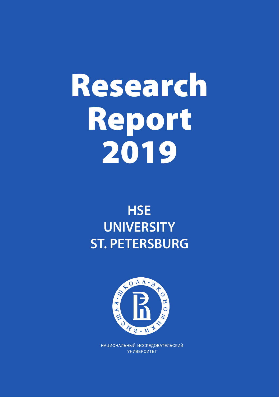# Research Report 2019

## **HSE UNIVERSITY ST. PETERSBURG**



НАЦИОНАЛЬНЫЙ ИССЛЕДОВАТЕЛЬСКИЙ **УНИВЕРСИТЕТ**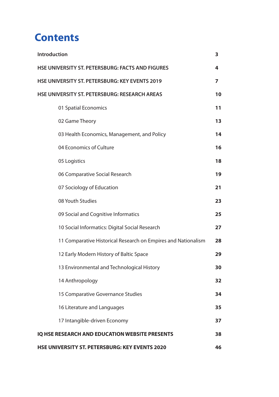## **Contents**

| Introduction<br>3                                             |    |  |
|---------------------------------------------------------------|----|--|
| HSE UNIVERSITY ST. PETERSBURG: FACTS AND FIGURES<br>4         |    |  |
| <b>HSE UNIVERSITY ST. PETERSBURG: KEY EVENTS 2019</b><br>7    |    |  |
| HSE UNIVERSITY ST. PETERSBURG: RESEARCH AREAS                 | 10 |  |
| 01 Spatial Economics                                          | 11 |  |
| 02 Game Theory                                                | 13 |  |
| 03 Health Economics, Management, and Policy                   | 14 |  |
| 04 Economics of Culture                                       | 16 |  |
| 05 Logistics                                                  | 18 |  |
| 06 Comparative Social Research                                | 19 |  |
| 07 Sociology of Education                                     | 21 |  |
| 08 Youth Studies                                              | 23 |  |
| 09 Social and Cognitive Informatics                           | 25 |  |
| 10 Social Informatics: Digital Social Research                | 27 |  |
| 11 Comparative Historical Research on Empires and Nationalism | 28 |  |
| 12 Early Modern History of Baltic Space                       | 29 |  |
| 13 Environmental and Technological History                    | 30 |  |
| 14 Anthropology                                               | 32 |  |
| 15 Comparative Governance Studies                             | 34 |  |
| 16 Literature and Languages                                   | 35 |  |
| 17 Intangible-driven Economy                                  | 37 |  |
| IQ HSE RESEARCH AND EDUCATION WEBSITE PRESENTS                | 38 |  |
| <b>HSE UNIVERSITY ST. PETERSBURG: KEY EVENTS 2020</b>         | 46 |  |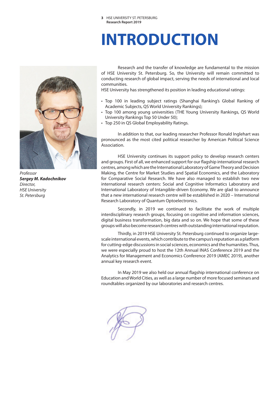## **INTRODUCTION**



*Professor Sergey M. Kadochnikov Director, HSE University St. Petersburg*

Research and the transfer of knowledge are fundamental to the mission of HSE University St. Petersburg. So, the University will remain committed to conducting research of global impact, serving the needs of international and local communities.

HSE University has strengthened its position in leading educational ratings:

- Top 100 in leading subject ratings (Shanghai Ranking's Global Ranking of Academic Subjects, QS World University Rankings);
- Top 100 among young universities (THE Young University Rankings, QS World University Rankings Top 50 Under 50);
- Top 250 in QS Global Employability Ratings.

In addition to that, our leading researcher Professor Ronald Inglehart was pronounced as the most cited political researcher by American Political Science Association.

HSE University continues its support policy to develop research centers and groups. First of all, we enhanced support for our flagship international research centres, among which are the International Laboratory of Game Theory and Decision Making, the Centre for Market Studies and Spatial Economics, and the Laboratory for Comparative Social Research. We have also managed to establish two new international research centers: Social and Cognitive Informatics Laboratory and International Laboratory of Intangible-driven Economy. We are glad to announce that a new international research centre will be established in 2020 – International Research Laboratory of Quantum Optoelectronics.

Secondly, in 2019 we continued to facilitate the work of multiple interdisciplinary research groups, focusing on cognitive and information sciences, digital business transformation, big data and so on. We hope that some of these groups will also become research centres with outstanding international reputation.

Thirdly, in 2019 HSE University St. Petersburg continued to organize largescale international events, which contribute to the campus's reputation as a platform for cutting-edge discussions in social sciences, economics and the humanities. Thus, we were especially proud to host the 12th Annual INAS Conference 2019 and the Analytics for Management and Economics Conference 2019 (AMEC 2019), another annual key research event.

In May 2019 we also held our annual flagship international conference on Education and World Cities, as well as a large number of more focused seminars and roundtables organized by our laboratories and research centres.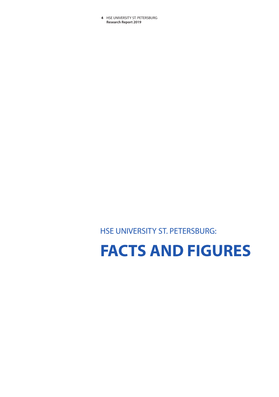# **FACTS AND FIGURES**

HSE UNIVERSITY ST. PETERSBURG: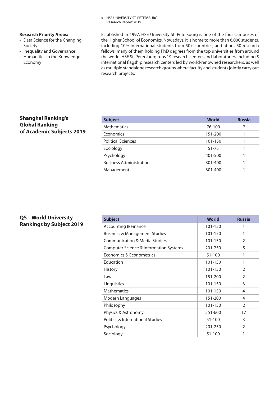### **Research Priority Areas:**

- Data Science for the Changing Society
- Inequality and Governance
- Humanities in the Knowledge Economy

Established in 1997, HSE University St. Petersburg is one of the four campuses of the Higher School of Economics. Nowadays, it is home to more than 6,000 students, including 10% international students from 50+ countries, and about 50 research fellows, many of them holding PhD degrees from the top universities from around the world. HSE St. Petersburg runs 19 research centers and laboratories, including 5 international flagship research centers led by world-renowned researchers, as well as multiple standalone research groups where faculty and students jointly carry out research projects.

### **Shanghai Ranking's Global Ranking of Academic Subjects 2019**

| <b>Subject</b>                 | <b>World</b> | <b>Russia</b> |
|--------------------------------|--------------|---------------|
| <b>Mathematics</b>             | 76-100       | $\mathcal{P}$ |
| Economics                      | 151-200      |               |
| <b>Political Sciences</b>      | 101-150      |               |
| Sociology                      | 51-75        |               |
| Psychology                     | 401-500      |               |
| <b>Business Administration</b> | 301-400      |               |
| Management                     | 301-400      |               |

### **QS – World University Rankings by Subject 2019**

| <b>Subject</b>                           | <b>World</b> | <b>Russia</b>  |
|------------------------------------------|--------------|----------------|
| <b>Accounting &amp; Finance</b>          | 101-150      | 1              |
| <b>Business &amp; Management Studies</b> | 101-150      | 1              |
| <b>Communication &amp; Media Studies</b> | 101-150      | 2              |
| Computer Science & Information Systems   | 201-250      | 5              |
| Economics & Econometrics                 | 51-100       | 1              |
| Education                                | 101-150      | 1              |
| <b>History</b>                           | 101-150      | $\mathfrak{D}$ |
| Law                                      | 151-200      | $\mathfrak{D}$ |
| Linguistics                              | 101-150      | 3              |
| <b>Mathematics</b>                       | 101-150      | 4              |
| Modern Languages                         | 151-200      | 4              |
| Philosophy                               | 101-150      | $\mathfrak{D}$ |
| Physics & Astronomy                      | 551-600      | 17             |
| Politics & International Studies         | 51-100       | 3              |
| Psychology                               | 201-250      | $\mathfrak{D}$ |
| Sociology                                | 51-100       | 1              |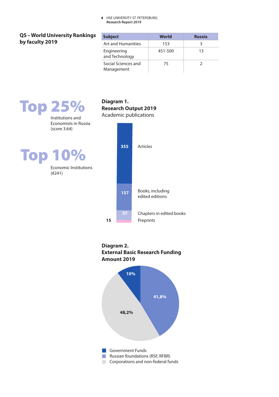**Diagram 1.** 

**Research Output 2019**

### **QS – World University Rankings by faculty 2019**

| <b>Subject</b>                    | World   | <b>Russia</b> |
|-----------------------------------|---------|---------------|
| <b>Art and Humanities</b>         | 153     | 3             |
| Engineering<br>and Technology     | 451-500 | 13            |
| Social Sciences and<br>Management | 75      |               |

## Top 25%

Institutions and Economists in Russia (score 3.64)

Top 10%

Economic Institutions (#241)





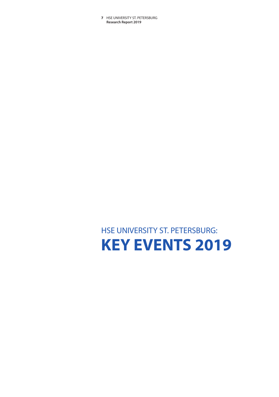## HSE UNIVERSITY ST. PETERSBURG: **KEY EVENTS 2019**

HSE UNIVERSITY ST. PETERSBURG **7 Research Report 2019**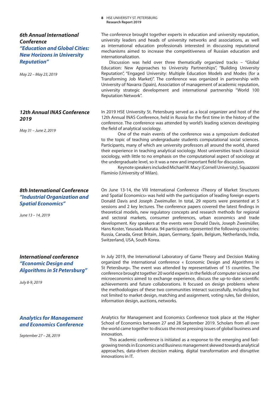### *6th Annual International Conference "Education and Global Cities: New Horizons in University Reputation"*

*May 22 – May 23, 2019*

### *12th Annual INAS Conference 2019*

*May 31 – June 2, 2019*

### *8th International Conference "Industrial Organization and Spatial Economics"*

*June 13 – 14, 2019*

### *International conference "Economic Design and Algorithms in St Petersburg"*

*July 8-9, 2019*

### *Analytics for Management and Economics Conference*

*September 27 – 28, 2019*

The conference brought together experts in education and university reputation, university leaders and heads of university networks and associations, as well as international education professionals interested in discussing reputational mechanisms aimed to increase the competitiveness of Russian education and internationalization.

HSE UNIVERSITY ST. PETERSBURG **8 Research Report 2019**

Discussion was held over three thematically organized tracks – "Global Education: New Approaches to University Partnerships", "Building University Reputation", "Engaged University: Multiple Education Models and Modes (for a Transforming Job Market)". The conference was organized in partnership with University of Navarra (Spain), Association of management of academic reputation, university strategic development and international partnership "World 100 Reputation Network".

In 2019 HSE University St. Petersburg served as a local organizer and host of the 12th Annual INAS Conference, held in Russia for the first time in the history of the conference. The conference was attended by world's leading sciences developing the field of analytical sociology.

One of the main events of the conference was a symposium dedicated to the topic of teaching undergraduate students computational social sciences. Participants, many of which are university professors all around the world, shared their experience in teaching analytical sociology. Most universities teach classical sociology, with little to no emphasis on the computational aspect of sociology at the undergraduate level, so it was a new and important field for discussion.

Keynote speakers included Michael W. Macy (Cornell University), Squazzoni Flaminio (University of Milan).

On June 13-14, the VIII International Conference «Theory of Market Structures and Spatial Economics» was held with the participation of leading foreign experts Donald Davis and Joseph Zweimuller. In total, 29 reports were presented at 5 sessions and 2 key lectures. The conference papers covered the latest findings in theoretical models, new regulatory concepts and research methods for regional and sectoral markets, consumer preferences, urban economics and trade development. Key speakers at the events were Donald Davis, Joseph Zweimüller, Hans Koster, Yasusada Murata. 94 participants represented the following countries: Russia, Canada, Great Britain, Japan, Germany, Spain, Belgium, Netherlands, India, Switzerland, USA, South Korea.

In July 2019, the International Laboratory of Game Theory and Decision Making organized the international conference « Economic Design and Algorithms in St Petersburg». The event was attended by representatives of 15 countries. The conference brought together 20 world experts in the fields of computer science and microeconomics aimed to exchange experience, discuss the up-to-date scientific achievements and future collaborations. It focused on design problems where the methodologies of these two communities interact successfully, including but not limited to market design, matching and assignment, voting rules, fair division, information design, auctions, networks.

Analytics for Management and Economics Conference took place at the Higher School of Economics between 27 and 28 September 2019. Scholars from all over the world came together to discuss the most pressing issues of global business and innovation.

This academic conference is initiated as a response to the emerging and fastgrowing trends in Economics and Business management skewed towards analytical approaches, data-driven decision making, digital transformation and disruptive innovations in IT.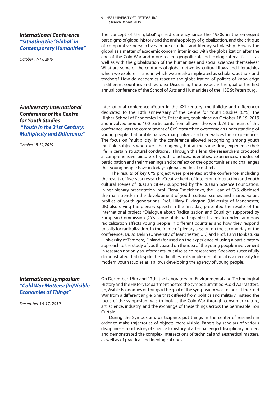### *International Conference "Situating the 'Global' in Contemporary Humanities"*

*October 17-19, 2019*

*Anniversary International Conference of the Centre for Youth Studies "Youth in the 21st Century: Multiplicity and Difference"*

*October 18-19, 2019*

### *International symposium "Cold War Matters: (In)Visible Economies of Things"*

*December 16-17, 2019*

HSE UNIVERSITY ST. PETERSBURG **9 Research Report 2019**

The concept of the 'global' gained currency since the 1980s in the emergent paradigms of global history and the anthropology of globalization, and the critique of comparative perspectives in area studies and literary scholarship. How is the global as a matter of academic concern interlinked with the globalization after the end of the Cold War and more recent geopolitical, and ecological realities — as well as with the globalization of the humanities and social sciences themselves? What are some of the contours of global networks, cultural flows and hierarchies which we explore — and in which we are also implicated as scholars, authors and teachers? How do academics react to the globalization of politics of knowledge in different countries and regions? Discussing these issues is the goal of the first annual conference of the School of Arts and Humanities of the HSE St Petersburg.

International conference «Youth in the XXI century: multiplicity and difference» dedicated to the 10th anniversary of the Centre for Youth Studies (CYS), the Higher School of Economics in St. Petersburg, took place on October 18-19, 2019 and involved around 100 participants from all over the world. At the heart of this conference was the commitment of CYS research to overcome an understanding of young people that problematizes, marginalizes and generalizes their experiences. The focus on 'multiplicity' in the conference allowed recognizing among youth multiple subjects who exert their agency, but at the same time, experience their life in certain structural conditions. Through this lens, the researchers produced a comprehensive picture of youth practices, identities, experiences, modes of participation and their meanings and to reflect on the opportunities and challenges that young people have in today's global and local contexts.

 The results of key CYS project were presented at the conference, including the results of five-year research «Creative fields of interethnic interaction and youth cultural scenes of Russian cities» supported by the Russian Science Foundation. In her plenary presentation, prof. Elena Omelchenko, the Head of CYS, disclosed the main trends in the development of youth cultural scenes and shared values profiles of youth generations. Prof. Hilary Pilkington (University of Manchester, UK) also giving the plenary speech in the first day, presented the results of the international project «Dialogue about Radicalization and Equality» supported by European Commission (CYS is one of its participants). It aims to understand how radicalization affects young people in different countries and how they respond to calls for radicalization. In the frame of plenary session on the second day of the conference, Dr. Jo Dekin (University of Manchester, UK) and Prof. Paivi Honkatukia (University of Tampere, Finland) focused on the experience of using a participatory approach to the study of youth, based on the idea of the young people involvement in research not only as informants, but also as co-researchers. Speakers successfully demonstrated that despite the difficulties in its implementation, it is a necessity for modern youth studies as it allows developing the agency of young people.

On December 16th and 17th, the Laboratory for Environmental and Technological History and the History Department hosted the symposium titled «Cold War Matters: (In)Visible Economies of Things.» The goal of the symposium was to look at the Cold War from a different angle, one that differed from politics and military. Instead the focus of the symposium was to look at the Cold War through consumer culture, art, science, industry, and the exchange of these things across the permeable Iron Curtain.

During the Symposium, participants put things in the center of research in order to make trajectories of objects more visible. Papers by scholars of various disciplines - from history of science to history of art - challenged disciplinary borders and demonstrated the complex intersections of technical and aesthetical matters, as well as of practical and ideological ones.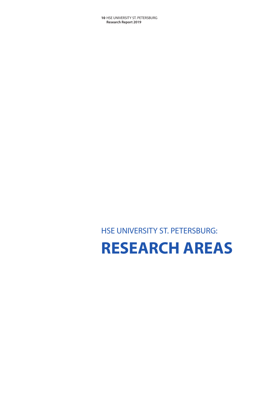# **RESEARCH AREAS**

HSE UNIVERSITY ST. PETERSBURG: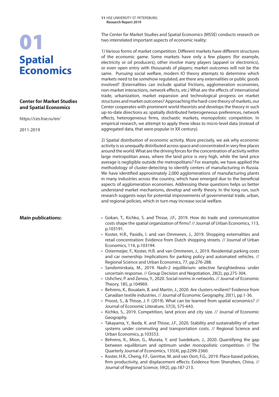## **Spatial Economics** 01

### **Center for Market Studies and Spatial Economics**

https://ces.hse.ru/en/

2011-2019

### **Main publications:**

The Center for Market Studies and Spatial Economics (MSSE) conducts research on two interrelated important aspects of economic reality:

1) Various forms of market competition. Different markets have different structures of the economic game. Some markets have only a few players (for example, electricity or oil producers), other involve many players (apparel or electronics), or even open entry with thousands of players; market outcomes will not be the same. Pursuing social welfare, modern IO theory attempts to determine which markets need to be somehow regulated, are there any externalities or public goods involved? (Externalities can include spatial frictions, agglomeration economies, non-market interactions, network effects, etc.) What are the effects of international trade, urbanization, market expansion and technological progress on market structures and market outcomes? Approaching the hard-core theory of markets, our Center cooperates with prominent world theorists and develops the theory in such up-to-date directions as: spatially distributed heterogeneous preferences, network effects, heterogeneous firms, stochastic markets, monopolistic competition. In empirical research, we attempt to apply these ideas to micro-level data (instead of aggregated data, that were popular in XX century).

2) Spatial distribution of economic activity. More precisely, we ask why economic activity is so unequally distributed across space and concentrated in very few places around the world. What are the driving forces for the concentration of activity within large metropolitan areas, where the land price is very high, while the land price average is negligible outside the metropolitans? For example, we have applied the methodology of cluster-detecting to identify centers of manufacturing in Russia. We have identified approximately 2,000 agglomerations of manufacturing plants in many industries across the country, which have emerged due to the beneficial aspects of agglomeration economies. Addressing these questions helps us better understand market mechanisms, develop and verify theory. In the long run, such research suggests ways for potential improvements of governmental trade, urban, and regional policies, which in turn may increase social welfare.

- Gokan, T., Kichko, S. and Thisse, J.F., 2019. How do trade and communication costs shape the spatial organization of firms? // Journal of Urban Economics, 113, p.103191.
- Koster, H.R., Pasidis, I. and van Ommeren, J., 2019. Shopping externalities and retail concentration: Evidence from Dutch shopping streets. // Journal of Urban Economics, 114, p.103194.
- Ostermeijer, F., Koster, H.R. and van Ommeren, J., 2019. Residential parking costs and car ownership: Implications for parking policy and automated vehicles. // Regional Science and Urban Economics, 77, pp.276-288.
- Sandomirskaia, M., 2019. Nash-2 equilibrium: selective farsightedness under uncertain response. // Group Decision and Negotiation, 28(2), pp.275-304.
- Ushchev, P. and Zenou, Y., 2020. Social norms in networks. // Journal of Economic Theory, 185, p.104969.
- Behrens, K., Boualam, B. and Martin, J., 2020. Are clusters resilient? Evidence from Canadian textile industries. // Journal of Economic Geography, 20(1), pp.1-36.
- Proost, S., & Thisse, J. F. (2019). What can be learned from spatial economics? // Journal of Economic Literature, 57(3), 575-643.
- Kichko, S., 2019. Competition, land prices and city size. // Journal of Economic Geography.
- Takayama, Y., Ikeda, K. and Thisse, J.F., 2020. Stability and sustainability of urban systems under commuting and transportation costs. // Regional Science and Urban Economics, p.103553.
- Behrens, K., Mion, G., Murata, Y. and Suedekum, J., 2020. Quantifying the gap between equilibrium and optimum under monopolistic competition. // The Quarterly Journal of Economics, 135(4), pp.2299-2360.
- Koster, H.R., Cheng, F.F., Gerritse, M. and van Oort, F.G., 2019. Place‐based policies, firm productivity, and displacement effects: Evidence from Shenzhen, China. // Journal of Regional Science, 59(2), pp.187-213.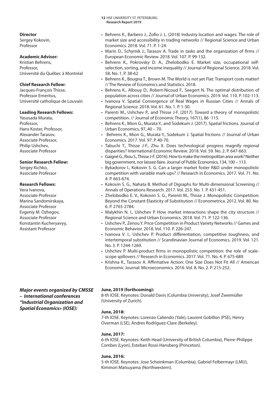### **Director**

Sergey Kokovin, Professor

### **Academic Advisor:**

Kristian Behrens, Professor, Université du Québec à Montréal

### **Chief Research Fellow:**

Jacques-François Thisse, Professor Emeritus, Université catholique de Louvain

### **Leading Research Fellows:**

Yasusada Murata, Professor, Hans Koster, Professor, Alexander Tarasov, Associate Professor, Philip Ushchev, Associate Professor

### **Senior Research Fellow:**

Sergey Kichko, Associate Professor

### **Research Fellows:**

Vera Ivanova, Associate Professor Marina Sandomirskaya, Associate Professor Evgeniy M. Ozhegov, Associate Professor Konstantin Kucheryavyy, Assistant Professor

*Major events organized by CMSSE – International conferences "Industrial Organization and Spatial Economics» (IOSE):*

- Behrens K., Barbero J., Zofio J. L. (2018) Industry location and wages: The role of market size and accessibility in trading networks // Regional Science and Urban Economics. 2018. Vol. 71. P. 1-24.
- Marin D., Schymik J., Tarasov A. Trade in tasks and the organization of firms // European Economic Review. 2018. Vol. 107. P. 99-132.
- Behrens K., Pokrovsky D. A., Zhelobodko E. Market size, occupational selfselection, sorting, and income inequality // Journal of Regional Science. 2018. Vol. 58. No. 1. P. 38-62
- Behrens K., Bougna T., Brown M. The World is not yet Flat: Transport costs matter! // The Review of Economics and Statistics. 2018.
- Behrens K., Albouy D., Robert-Nicoud F., Seegert N. The optimal distribution of population across cities // Journal of Urban Economics. 2019. Vol. 110. P. 102-113.
- Ivanova V. Spatial Convergence of Real Wages in Russian Cities // Annals of Regional Science. 2018. Vol. 61. No. 1. P. 1-30.
- Parenti M., Ushchev P., and Thisse J-F. (2017). Toward a theory of monopolistic competition. // Journal of Economic Theory, 167(1), 86 -115.
- Behrens K., Mion G., Murata Y., and Südekum J. (2017). Spatial frictions. Journal of Urban Economics, 97, 40 – 70.
- Behrens K., Mion G., Murata Y., Südekum J. Spatial frictions // Journal of Urban Economics. 2017. Vol. 97. P. 40-70.
- Tabuchi T., Thisse J-F., Zhu X. Does technological progress magnify regional disparities? International Economic Review. 2018. Vol. 59. No. 2. P. 647-663.
- Gaigné G., Riou S., Thisse J-F. (2016). How to make the metropolitan area work? Neither big government, nor laissez-faire. Journal of Public Economics, 134, 100 – 113.
- Bykadorov I., Kokovin S. G. Can a larger market foster R&D under monopolistic competition with variable mark-ups? // Research in Economics. 2017. Vol. 71. No. 4. P. 663-674.
- Kokovin S. G., Nahata B. Method of Digraphs for Multi-dimensional Screening // Annals of Operations Research. 2017. Vol. 253. No. 1. P. 431-451.
- Zhelobodko E. V., Kokovin S. G., Parenti M., Thisse J. Monopolistic Competition: Beyond the Constant Elasticity of Substitution // Econometrica. 2012. Vol. 80. No. 6. P. 2765-2784.
- Malykhin N. I., Ushchev P. How market interactions shape the city structure // Regional Science and Urban Economics. 2018. Vol. 71. P. 122-136.
- Ushchev P., Zenou Y. Price Competition in Product Variety Networks // Games and Economic Behavior. 2018. Vol. 110. P. 226-247.
- Ivanova V. I., Ushchev P. Product differentiation, competitive toughness, and intertemporal substitution // Scandinavian Journal of Economics. 2019. Vol. 121. No. 3. P. 1244-1269.
- Ushchev P. Multi-product firms in monopolistic competition: the role of scalescope spillovers // Research in Economics. 2017. Vol. 71. No. 4. P. 675-689.
- Krishna K., Tarasov A. Affirmative Action: One Size Does Not Fit All // American Economic Journal: Microeconomics. 2016. Vol. 8. No. 2. P. 215-252.

### **June, 2019 (forthcoming):**

8-th IOSE. Keynotes: Donald Davis (Columbia University), Josef Zweimüller (University of Zurich).

### **June, 2018:**

7-th IOSE. Keynotes: Lorenzo Caliendo (Yale), Laurent Gobillon (PSE), Henry Overman (LSE), Andres Rodríguez-Clare (Berkeley).

### **June, 2017:**

6-th IOSE. Keynotes: Keith Head (University of British Columbia), Pierre-Philippe Combes (Lyon), Esteban Rossi-Hansberg (Princeton).

### **June, 2016:**

5-th IOSE. Keynotes: Jose Scheinkman (Columbia), Gabriel Felbermayr (LMU), Kiminori Matsuyama (Northwestern).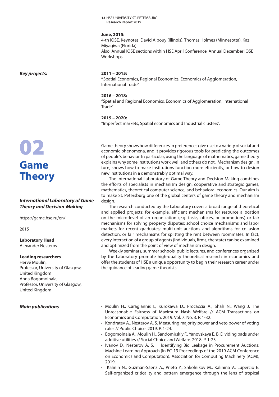### **June, 2015:**

4-th IOSE. Keynotes: David Albouy (Illinois), Thomas Holmes (Minnesotta), Kaz Miyagiwa (Florida). Also: Annual IOSE sections within HSE April Conference, Annual December IOSE Workshops.

*Key projects:*

## 02 **Game Theory**

### *International Laboratory of Game Theory and Decision-Making*

https://game.hse.ru/en/

2015

**Laboratory Head** Alexander Nesterov

### **Leading researchers**

Hervé Moulin, Professor, University of Glasgow, United Kingdom Anna Bogomolnaia, Professor, University of Glasgow, United Kingdom

### *Main publications*

### **2011 – 2015:**

**"**Spatial Economics, Regional Economics, Economics of Agglomeration, International Trade"

### **2016 – 2018:**

"Spatial and Regional Economics, Economics of Agglomeration, International Trade"

### **2019 – 2020:**

"Imperfect markets, Spatial economics and Industrial clusters".

Game theory shows how differences in preferences give rise to a variety of social and economic phenomena, and it provides rigorous tools for predicting the outcomes of people's behavior. In particular, using the language of mathematics, game theory explains why some institutions work well and others do not. Mechanism design, in turn, shows how to make institutions function more efficiently, or how to design new institutions in a demonstrably optimal way.

The International Laboratory of Game Theory and Decision-Making combines the efforts of specialists in mechanism design, cooperative and strategic games, mathematics, theoretical computer science, and behavioral economics. Our aim is to make St. Petersburg one of the global centers of game theory and mechanism design.

The research conducted by the Laboratory covers a broad range of theoretical and applied projects: for example, efficient mechanisms for resource allocation on the micro-level of an organization (e.g. tasks, offices, or promotions) or fair mechanisms for solving property disputes; school choice mechanisms and labor markets for recent graduates; multi-unit auctions and algorithms for collusion detection; or fair mechanisms for splitting the rent between roommates. In fact, every interaction of a group of agents (individuals, firms, the state) can be examined and optimized from the point of view of mechanism design.

Weekly seminars, summer schools, public lectures, and conferences organized by the Laboratory promote high-quality theoretical research in economics and offer the students of HSE a unique opportunity to begin their research career under the guidance of leading game theorists.

- Moulin H., Caragiannis I., Kurokawa D., Procaccia A., Shah N., Wang J. The Unreasonable Fairness of Maximum Nash Welfare // ACM Transactions on Economics and Computation. 2019. Vol. 7. No. 3. P. 1-32.
- Kondratev A., Nesterov A. S. Measuring majority power and veto power of voting rules // Public Choice. 2019. P. 1-24.
- Bogomolnaia A., Moulin H., Sandomirskiy F., Yanovskaya E. B. Dividing bads under additive utilities // Social Choice and Welfare. 2018. P. 1-23.
- Ivanov D., Nesterov A. S. Identifying Bid Leakage in Procurement Auctions: Machine Learning Approach (in EC '19 Proceedings of the 2019 ACM Conference on Economics and Computation). Association for Computing Machinery (ACM), 2019.
- Kalinin N., Guzmán-Sáenz A., Prieto Y., Shkolnikov M., Kalinina V., Lupercio E. Self-organized criticality and pattern emergence through the lens of tropical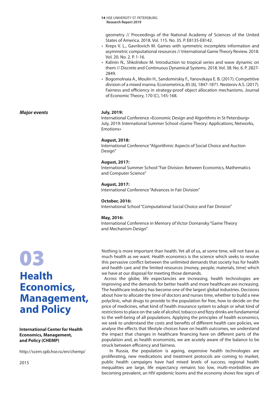geometry // Proceedings of the National Academy of Sciences of the United States of America. 2018. Vol. 115. No. 35. P. E8135-E8142.

- Kreps V. L., Gavrilovich M. Games with symmetric incomplete information and asymmetric computational resources // International Game Theory Review. 2018. Vol. 20. No. 2. P. 1-16.
- Kalinin N., Shkolnikov M. Introduction to tropical series and wave dynamic on them // Discrete and Continuous Dynamical Systems. 2018. Vol. 38. No. 6. P. 2827- 2849.
- Bogomolnaia A., Moulin H., Sandomirskiy F., Yanovskaya E. B. (2017). Competitive division of a mixed manna. Econometrica, 85 (6), 1847-1871. Nesterov A.S. (2017). Fairness and efficiency in strategy-proof object allocation mechanisms. Journal of Economic Theory, 170 (C), 145-168.

### **July, 2019:**

International Conference «Economic Design and Algorithms in St Petersburg» July, 2019: International Summer School «Game Theory: Applications, Networks, Emotions»

### **August, 2018:**

International Conference "Algorithmic Aspects of Social Choice and Auction Design"

### **August, 2017:**

International Summer School "Fair Division: Between Economics, Mathematics and Computer Science"

### **August, 2017:**

International Conference "Advances in Fair Division"

### **October, 2016:**

International School "Computational Social Choice and Fair Division"

### **May, 2016:**

International Conference in Memory of Victor Domansky "Game Theory and Mechanism Design"

## 03 **Health Economics, Management, and Policy**

*Major events*

### **International Center for Health Economics, Management, and Policy (CHEMP)**

http://scem.spb.hse.ru/en/chemp/

2015

### Nothing is more important than health. Yet all of us, at some time, will not have as much health as we want. Health economics is the science which seeks to resolve this pervasive conflict between the unlimited demands that society has for health and health care and the limited resources (money, people, materials, time) which we have at our disposal for meeting those demands.

 Across the globe, life expectancies are increasing, health technologies are improving and the demands for better health and more healthcare are increasing. The healthcare industry has become one of the largest global industries. Decisions about how to allocate the time of doctors and nurses time, whether to build a new polyclinic, what drugs to provide to the population for free, how to decide on the price of medicines, what kind of health insurance system to adopt or what kind of restrictions to place on the sale of alcohol, tobacco and fizzy drinks are fundamental to the well-being of all populations. Applying the principles of health economics, we seek to understand the costs and benefits of different health care policies, we analyse the effects that lifestyle choices have on health outcomes, we understand the impact that changes in healthcare financing have on different parts of the population and, as health economists, we are acutely aware of the balance to be struck between efficiency and fairness.

In Russia, the population is ageing, expensive health technologies are proliferating, new medications and treatment protocols are coming to market, public health campaigns have had mixed levels of success, regional health inequalities are large, life expectancy remains too low, multi-morbidities are becoming prevalent, an HIV epidemic looms and the economy shows few signs of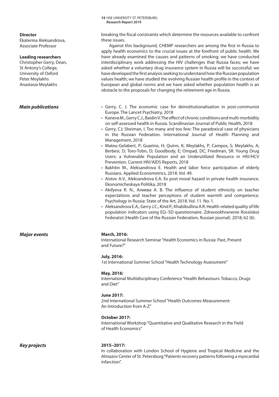**Director**

Ekaterina Aleksandrova, Associate Professor

### **Leading researchers**

Christopher Gerry, Dean, St Antony's College, University of Oxford Peter Meylakhs Anastasia Meylakhs

### *Main publications*

breaking the fiscal constraints which determine the resources available to confront these issues.

Against this background, CHEMP researchers are among the first in Russia to apply health economics to the crucial issues at the forefront of public health. We have already examined the causes and patterns of smoking; we have conducted interdisciplinary work addressing the HIV challenges that Russia faces; we have asked whether a voluntary drug insurance system in Russia will be successful; we have developed the first analysis seeking to understand how the Russian population values health; we have studied the evolving Russian health profile in the context of European and global norms and we have asked whether population health is an obstacle to the proposals for changing the retirement age in Russia.

- Gerry, C. J. The economic case for deinstitutionalisation in post-communist Europe. The Lancet Psychiatry, 2018
- Kaneva M., Gerry C.J., Baidin V. The effect of chronic conditions and multi-morbidity on self-assessed health in Russia. Scandinavian Journal of Public Health, 2018
- Gerry, CJ; Sheiman, I. Too many and too few: The paradoxical case of physicians in the Russian Federation. International Journal of Health Planning and Management, 2018
- Mateu-Gelabert, P; Guarino, H; Quinn, K; Meylakhs, P; Campos, S; Meylakhs, A; Berbesi, D; Toro-Tobn, D; Goodbody, E; Ompad, DC; Friedman, SR. Young Drug Users: a Vulnerable Population and an Underutilized Resource in HIV/HCV Prevention. Current HIV/AIDS Reports, 2018
- Bakhtin M., Aleksandrova E. Health and labor force participation of elderly Russians. Applied Econometrics, 2018. Vol. 49.
- Aistov A.V., Aleksandrova E.A. Ex post moral hazard in private health insurance. Ekonomicheskaya Politika, 2018
- Akifyeva R. N., Алиева А. В. The influence of student ethnicity on teacher expectations and teacher perceptions of student warmth and competence. Psychology in Russia: State of the Art, 2018. Vol. 11. No. 1.
- Aleksandrova E.A., Gerry J.C., Kind P., Khabibullina A.R. Health-related quality of life population indicators using EQ–5D questionnaire. Zdravookhranenie Rossiiskoi Federatsii (Health Care of the Russian Federation, Russian journal). 2018; 62 (6).

### *Major events* **March, 2016:**

International Research Seminar "Health Economics in Russia: Past, Present and Future?"

### **July, 2016:**

1st International Summer School "Health Technology Assessment"

### **May, 2016:**

International Multidisciplinary Conference "Health Behaviours: Tobacco, Drugs and Diet"

### **June 2017:**

2nd International Summer School "Health Outcomes Measurement: An Introduction from A-Z"

### **October 2017:**

International Workshop "Quantitative and Qualitative Research in the Field of Health Economics"

### *Key projects* **2015–2017:**

In collaboration with London School of Hygiene and Tropical Medicine and the Almazov Center of St. Petersburg "Patients recovery patterns following a myocardial infarction".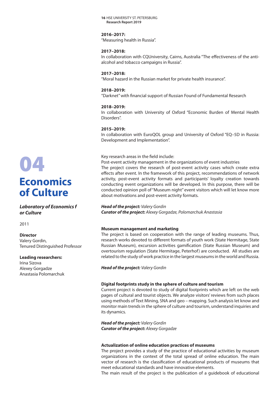### **2016–2017:**

"Measuring health in Russia".

### **2017–2018:**

In collaboration with CQUniversity, Cairns, Australia "The effectiveness of the antialcohol and tobacco campaigns in Russia".

### **2017–2018:**

"Moral hazard in the Russian market for private health insurance".

### **2018–2019:**

"Darknet" with financial support of Russian Found of Fundamental Research

### **2018–2019:**

In collaboration with University of Oxford "Economic Burden of Mental Health Disorders".

### **2015–2019:**

In collaboration with EuroQOL group and University of Oxford "EQ–5D in Russia: Development and Implementation".

### Key research areas in the field include:

Post-event activity management in the organizations of event industries The project covers the research of post-event activity cases which create extra effects after event. In the framework of this project, recommendations of network activity, post-event activity formats and participants' loyalty creation towards conducting event organizations will be developed. In this purpose, there will be conducted opinion poll of "Museum night" event visitors which will let know more about motivations and post-event activity formats.

### *Head of the project: Valery Gordin*

*Curator of the project: Аlexey Gorgadze, Polomarchuk Anastasia* 

### **Museum management and marketing**

The project is based on cooperation with the range of leading museums. Thus, research works devoted to different formats of youth work (State Hermitage, State Russian Museum), excursion activities gamification (State Russian Museum) and overtourism regulation (State Hermitage, Peterhof) are conducted. All studies are related to the study of work practice in the largest museums in the world and Russia.

*Head of the project: Valery Gordin*

### **Digital footprints study in the sphere of culture and tourism**

Current project is devoted to study of digital footprints which are left on the web pages of cultural and tourist objects. We analyze visitors' reviews from such places using methods of Text Mining, SNA and geo – mapping. Such analysis let know and monitor main trends in the sphere of culture and tourism, understand inquiries and its dynamics.

*Head of the project: Valery Gordin Curator of the project: Аlexey Gorgadze* 

### **Actualization of online education practices of museums**

The project provides a study of the practice of educational activities by museum organizations in the context of the total spread of online education. The main vector of research is the classification of educational products of museums that meet educational standards and have innovative elements.

The main result of the project is the publication of a guidebook of educational

## 04 **Economics of Culture**

*Laboratory of Economics f or Culture*

2011

### **Director**

Valery Gordin, Tenured Distinguished Professor

### **Leading researchers:**

Irina Sizova Аlexey Gorgadze Anastasia Polomarchuk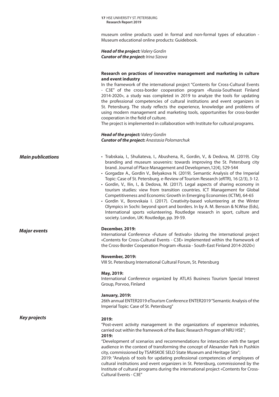museum online products used in formal and non-formal types of education - Museum educational online products: Guidebook.

*Head of the project: Valery Gordin Curator of the project: Irina Sizova*

### **Research on practices of innovative management and marketing in culture and event industry**

In the framework of the international project "Contents for Cross-Cultural Events - C3E" of the cross-border cooperation program «Russia-Southeast Finland 2014-2020», a study was completed in 2019 to analyze the tools for updating the professional competencies of cultural institutions and event organizers in St. Petersburg. The study reflects the experience, knowledge and problems of using modern management and marketing tools, opportunities for cross-border cooperation in the field of culture.

The project is implemented in collaboration with Institute for cultural programs.

### *Head of the project: Valery Gordin Curator of the project: Anastasia Polomarchuk*

| <b>Main publications</b> | · Trabskaia, I., Shuliateva, I., Abushena, R., Gordin, V., & Dedova, M. (2019). City |  |
|--------------------------|--------------------------------------------------------------------------------------|--|
|                          | branding and museum souvenirs: towards improving the St. Petersburg city             |  |

- brand. Journal of Place Management and Developmen,12(4), 529-544 • Gorgadze A., Gordin V., Belyakova N. (2019). Semantic Analysis of the Imperial Topic: Case of St. Petersburg. e-Review of Tourism Research (eRTR), 16 (2/3), 3-12.
- Gordin, V., Ilin, I., & Dedova, M. (2017). Legal aspects of sharing economy in tourism studies: view from transition countries. ICT Management for Global Competitiveness and Economic Growth in Emerging Economies (ICTM), 64-65
- Gordin V., Borovskaia I. (2017). Creativity-based volunteering at the Winter Olympics in Sochi: beyond sport and borders. In by A. M. Benson & N.Wise (Eds), International sports volunteering. Routledge research in sport, culture and society. London, UK: Routledge, pp. 39-59.

### *Major events* **December, 2019:**

International Conference «Future of festivals» (during the international project «Contents for Cross-Cultural Events - C3E» implemented within the framework of the Cross-Border Cooperation Program «Russia - South-East Finland 2014-2020»)

### **November, 2019:**

VIII St. Petersburg International Cultural Forum, St. Petersburg

### **May, 2019:**

International Conference organized by ATLAS Business Tourism Special Interest Group, Porvoo, Finland

### **January, 2019:**

26th annual ENTER2019 eTourism Conference ENTER2019 "Semantic Analysis of the Imperial Topic: Case of St. Petersburg"

*Key projects* **2019:** 

"Post-event activity management in the organizations of experience industries, carried out within the framework of the Basic Research Program of NRU HSE"; **2019:**

"Development of scenarios and recommendations for interaction with the target audience in the context of transforming the concept of Alexander Park in Pushkin city, commissioned by TSARSKOE SELO State Museum and Heritage Site";

2019: "Analysis of tools for updating professional competencies of employees of cultural institutions and event organizers in St. Petersburg, commissioned by the Institute of cultural programs during the international project «Contents for Cross-Cultural Events - C3E"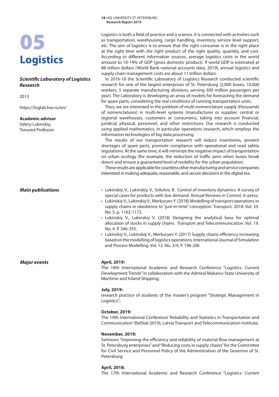## 05 **Logistics**

### *Scientific Laboratory of Logistics Research*

2013

https://loglab.hse.ru/en/

### **Academic advisor**

Valery Lukinskiy, Tenured Professor

*Major events* **April, 2019:** 

Logistics is both a field of practice and a science. It is connected with activities such as transportation, warehousing, cargo handling, inventory, service level support, etc. The aim of logistics is to ensure that the right consumer is in the right place at the right time with the right product of the right quality, quantity, and cost. According to different information sources, average logistics costs in the world amount to 10-14% of GDP (gross domestic product). If world GDP is estimated at 88 trillion dollars (World Bank national accounts data, 2019), annual logistics and supply chain management costs are about 11 trillion dollars.

In 2016-18 the Scientific Laboratory of Logistics Research conducted scientific research for one of the largest enterprises of St. Petersburg (2,000 buses, 10,000 workers, 5 separate manufacturing divisions, serving 300 million passengers per year). The Laboratory is developing an array of models for forecasting the demand for spare parts, considering the real conditions of running transportation units.

Thus, we are interested in the problem of multi-nomenclature supply (thousands of nomenclatures) in multi-level systems (manufacturer or supplier, central or regional warehouses, customers or consumers), taking into account financial, juridical, physical, personnel, and other restrictions. Our research is conducted using applied mathematics, in particular operations research, which employs the information technologies of big data processing.

The results of our transportation research will reduce inventories, prevent shortages of spare parts, promote compliance with operational and road safety regulations. At the same time, it will minimize the negative impact of transportation on urban ecology (for example, the reduction of traffic jams when buses break down) and ensure a guaranteed level of mobility for the urban population.

These results are applicable for countless other manufacturing and service companies interested in making adequate, reasonable, and secure decisions in the digital era.

- *Main publications* Lukinskiy, V., Lukinskiy, V., Sokolov, B. Control of inventory dynamics: A survey of special cases for products with low demand. Annual Reviews in Control, in press;
	- Lukinskiy V., Lukinskiy V., Merkuryev Y. (2018) Modelling of transport operations in supply chains in obedience to "just-in-time" conception. Transport. 2018. Vol. 33. No. 5. p. 1162-1172.
	- Lukinskiy V., Lukinskiy V. (2018) Designing the analytical base for optimal allocation of stocks in supply chains. Transport and Telecommunication. Vol. 19. No. 4. P. 346-355.
	- Lukinskiy V., Lukinskiy V., Merkuryev Y. (2017) Supply chains efficiency increasing based on the modelling of logistics operations. International Journal of Simulation and Process Modelling. Vol. 12. No. 3/4, P. 196-206

The 18th International Academic and Research Conference "Logistics: Current Development Trends" in collaboration with the Admiral Makarov State University of Maritime and Inland Shipping;

### **July, 2019:**

research practice of students of the master's program "Strategic Management in Logistics";

### **October, 2019:**

The 19th International Conference 'Reliability and Statistics in Transportation and Communication' (RelStat-2019), Latvia Transport and Telecommunication Institute;

### **November, 2019:**

Seminars "Improving the efficiency and reliability of material flow management at St. Petersburg enterprises" and "Reducing costs in supply chains" for the Committee for Civil Service and Personnel Policy of the Administration of the Governor of St. Petersburg;

### **April, 2018:**

The 17th International Academic and Research Conference "Logistics: Current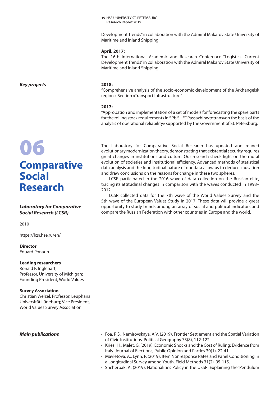Development Trends" in collaboration with the Admiral Makarov State University of Maritime and Inland Shipping;

### **April, 2017:**

The 16th International Academic and Research Conference "Logistics: Current Development Trends" in collaboration with the Admiral Makarov State University of Maritime and Inland Shipping

*Key projects* **2018:** 

## **Comparative Social Research**

### *Laboratory for Comparative Social Research (LCSR)*

2010

https://lcsr.hse.ru/en/

**Director** Eduard Ponarin

### **Leading researchers**

Ronald F. Inglehart, Professor, University of Michigan; Founding President, World Values

### **Survey Association**

Christian Welzel, Professor, Leuphana Universität Lüneburg; Vice President, World Values Survey Association

### *Main publications*

- Foa, R.S., Nemirovskaya, A.V. (2019). Frontier Settlement and the Spatial Variation of Civic Institutions. Political Geography 73(8), 112-122.
- Kriesi, H., Malet, G. (2019). Economic Shocks and the Cost of Ruling: Evidence from Italy. Journal of Elections, Public Opinion and Parties 30(1), 22-41.
- Mavletova, A., Lynn, P. (2019). Item Nonresponse Rates and Panel Conditioning in a Longitudinal Survey among Youth. Field Methods 31(2), 95-115.
- Shcherbak, A. (2019). Nationalities Policy in the USSR: Explaining the 'Pendulum

"Comprehensive analysis of the socio-economic development of the Arkhangelsk region.» Section «Transport Infrastructure".

### **2017:**

"Approbation and implementation of a set of models for forecasting the spare parts for the rolling stock requirements in SPb SUE " Passazhiravtotrans»on the basis of the analysis of operational reliability» supported by the Government of St. Petersburg.

The Laboratory for Comparative Social Research has updated and refined evolutionary modernization theory, demonstrating that existential security requires great changes in institutions and culture. Our research sheds light evolutionary modernization theory, demonstrating that existential security requires great changes in institutions and culture. Our research sheds light on the moral evolution of societies and institutional efficiency. Advanced methods of statistical data analysis and the longitudinal nature of our data allow us to deduce causation and draw conclusions on the reasons for change in these two spheres.

> LCSR participated in the 2016 wave of data collection on the Russian elite, tracing its attitudinal changes in comparison with the waves conducted in 1993– 2012.

> LCSR collected data for the 7th wave of the World Values Survey and the 5th wave of the European Values Study in 2017. These data will provide a great opportunity to study trends among an array of social and political indicators and compare the Russian Federation with other countries in Europe and the world.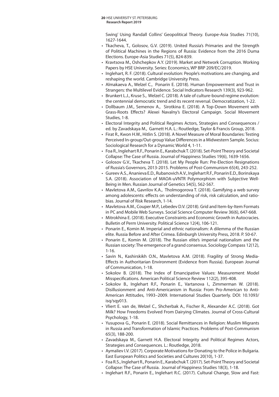Swing' Using Randall Collins' Geopolitical Theory. Europe-Asia Studies 71(10), 1627-1644.

- Tkacheva, T., Golosov, G.V. (2019). United Russia's Primaries and the Strength of Political Machines in the Regions of Russia: Evidence from the 2016 Duma Elections. Europe-Asia Studies 71(5), 824-839.
- Kravtsova M., Oshchepkov A.Y. (2019). Market and Network Corruption. Working Papers by HSE University. Series: Economics, WP BRP 209/EC/2019.
- Inglehart, R. F. (2018). Cultural evolution: People's motivations are changing, and reshaping the world. Cambridge University Press.
- Almakaeva A., Welzel C., Ponarin E. (2018). Human Empowerment and Trust in Strangers: the Multilevel Evidence. Social Indicators Research 139(3), 923-962.
- Brunkert L.J., Kruse S., Welzel C. (2018). A tale of culture-bound regime evolution: the centennial democratic trend and its recent reversal. Democratization, 1-22.
- Dollbaum J.M., Semenov A., Sirotkina E. (2018). A Top-Down Movement with Grass-Roots Effects? Alexei Navalny's Electoral Campaign. Social Movement Studies, 1-8.
- Electoral Integrity and Political Regimes Actors, Strategies and Consequences / ed. by Zavadskaya M., Garnett H.A. L.: Routledge, Taylor & Francis Group, 2018.
- Firat R., Kwon H.W., Hitlin S. (2018). A Novel Measure of Moral Boundaries: Testing Perceived In-group/Out-group Value Differences in a Midwestern Sample. Socius: Sociological Research for a Dynamic World 4, 1-11.
- Foa R., Inglehart R.F., Ponarin E., Karabchuk T. (2018). Set-Point Theory and Societal Collapse: The Case of Russia. Journal of Happiness Studies 19(6), 1639-1656.
- Golosov G.V., Tkacheva T. (2018). Let My People Run: Pre-Election Resignations of Russia's Governors, 2013-2015. Problems of Post-Communism 65(4), 243-252.
- Gureev A.S., Ananieva E.D., Rubanovich A.V., Inglehart R.F., Ponarin E.D., Borinskaya S.A. (2018). Association of MAOA-uVNTR Polymorphism with Subjective Well-Being in Men. Russian Journal of Genetics 54(5), 562-567.
- Mavletova A.M., Gavrilov K.A., Tholmogorova T. (2018). Gamifying a web survey among adolescents: effects on understanding of risk, risk calculation, and ratiobias. Journal of Risk Research, 1-14.
- Mavletova A.M., Couper M.P., Lebedev D.V. (2018). Grid and Item-by-Item Formats in PC and Mobile Web Surveys. Social Science Computer Review 36(6), 647-668.
- Mitrokhina E. (2018). Executive Constraints and Economic Growth in Autocracies. Bulletin of Perm University. Political Science 12(4), 106-121.
- Ponarin E., Komin M. Imperial and ethnic nationalism: A dilemma of the Russian elite. Russia Before and After Crimea. Edinburgh University Press, 2018. P. 50-67.
- Ponarin E., Komin M. (2018). The Russian elite's imperial nationalism and the Russian society: The emergence of a grand consensus. Sociology Compass 12(12), 1-16.
- Savin N., Kashirskikh O.N., Mavletova A.M. (2018). Fragility of Strong Media-Effects in Authoritarian Environment (Evidence from Russia). European Journal of Communication, 1-18.
- Sokolov B. (2018). The Index of Emancipative Values: Measurement Model Misspecifications. American Political Science Review 112(2), 395-408.
- Sokolov B., Inglehart R.F., Ponarin E., Vartanova I., Zimmerman W. (2018). Disillusionment and Anti-Americanism in Russia: From Pro-American to Anti-American Attitudes, 1993–2009. International Studies Quarterly. DOI: 10.1093/ isq/sqy013.
- Vliert E. van de, Welzel C., Shcherbak A., Fischer R., Alexander A.C. (2018). Got Milk? How Freedoms Evolved From Dairying Climates. Journal of Cross-Cultural Psychology, 1-18.
- Yusupova G., Ponarin E. (2018). Social Remittances in Religion: Muslim Migrants in Russia and Transformation of Islamic Practices. Problems of Post-Communism 65(3), 188-200.
- Zavadskaya M., Garnett H.A. Electoral Integrity and Political Regimes Actors, Strategies and Consequences. L.: Routledge, 2018.
- Aymaliev I.V. (2017). Corporate Motivations for Donating to the Police in Bulgaria. East European Politics and Societies and Cultures 20(10), 1-37.
- Foa R.S., Inglehart R., Ponarin E., Karabchuk T. (2017). Set-Point Theory and Societal Collapse: The Case of Russia. Journal of Happiness Studies 18(3), 1-18.
- Inglehart R.F., Ponarin E., Inglehart R.C. (2017). Cultural Change, Slow and Fast: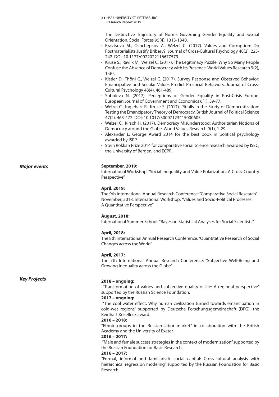The Distinctive Trajectory of Norms Governing Gender Equality and Sexual Orientation. Social Forces 95(4), 1313-1340.

- Kravtsova M., Oshchepkov A., Welzel C. (2017). Values and Corruption: Do Postmaterialists Justify Bribery? Journal of Cross-Cultural Psychology 48(2), 225- 242. DOI: 10.1177/0022022116677579.
- Kruse S., Ravlik M., Welzel C. (2017). The Legitimacy Puzzle: Why So Many People Confuse the Absence of Democracy with Its Presence. World Values Research 9(2), 1-30.
- Kistler D., Thöni C., Welzel C. (2017). Survey Response and Observed Behavior: Emancipative and Secular Values Predict Prosocial Behaviors. Journal of Cross-Cultural Psychology 48(4), 461-489.
- Soboleva N. (2017). Perceptions of Gender Equality in Post-Crisis Europe. European Journal of Government and Economics 6(1), 59-77.
- Welzel C., Inglehart R., Kruse S. (2017). Pitfalls in the Study of Democratization: Testing the Emancipatory Theory of Democracy. British Journal of Political Science 47(2), 463-472. DOI: 10.1017/S0007123415000605.
- Welzel C., Kirsch H. (2017). Democracy Misunderstood: Authoritarian Notions of Democracy around the Globe. World Values Research 9(1), 1-29.
- Alexander L. George Award 2014 for the best book in political psychology awarded by ISPP
- Stein Rokkan Prize 2014 for comparative social science research awarded by ISSC, the University of Bergen, and ECPR.

### *Major events* **September, 2019:**

International Workshop: "Social Inequality and Value Polarization: A Cross-Country Perspective"

### **April, 2019:**

The 9th International Annual Research Conference: "Comparative Social Research" November, 2018: International Workshop: "Values and Socio-Political Processes: A Quantitative Perspective"

### **August, 2018:**

International Summer School: "Bayesian Statistical Analyses for Social Scientists"

### **April, 2018:**

The 8th International Annual Research Conference: "Quantitative Research of Social Changes across the World"

### **April, 2017:**

The 7th International Annual Research Conference: "Subjective Well-Being and Growing Inequality across the Globe"

### *Key Projects*

### **2018 – ongoing:**

 "Transformation of values and subjective quality of life: A regional perspective" supported by the Russian Science Foundation.

### **2017 – ongoing:**

 "The cool water effect: Why human civilization turned towards emancipation in cold-wet regions" supported by Deutsche Forschungsgemeinschaft (DFG), the Reinhart Koselleck award.

### **2016 – 2018:**

"Ethnic groups in the Russian labor market" in collaboration with the British Academy and the University of Exeter.

### **2016 – 2017:**

"Male and female success strategies in the context of modernization" supported by the Russian Foundation for Basic Research.

### **2016 – 2017:**

"Formal, informal and familiaristic social capital: Cross-cultural analysis with hierarchical regression modeling" supported by the Russian Foundation for Basic Research.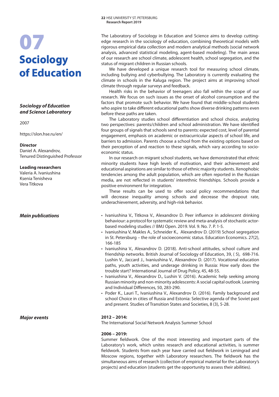## 07 **Sociology of Education**

### *Sociology of Education and Science Laboratory*

### 2007

https://slon.hse.ru/en/

### **Director**

Daniel A. Alexandrov, Tenured Distinguished Professor

### **Leading researchers**

Valeria A. Ivaniushina Ksenia Tenisheva Vera Titkova

*Major events* **2012 – 2014:** 

The Laboratory of Sociology in Education and Science aims to develop cuttingedge research in the sociology of education, combining theoretical models with rigorous empirical data collection and modern analytical methods (social network analysis, advanced statistical modeling, agent-based modeling). The main areas of our research are school climate, adolescent health, school segregation, and the status of migrant children in Russian schools.

We have developed a unique research tool for measuring school climate, including bullying and cyberbullying. The Laboratory is currently evaluating the climate in schools in the Kaluga region. The project aims at improving school climate through regular surveys and feedback.

Health risks in the behavior of teenagers also fall within the scope of our research. We focus on such issues as the onset of alcohol consumption and the factors that promote such behavior. We have found that middle-school students who aspire to take different educational paths show diverse drinking patterns even before these paths are taken.

barriers to admission. Parents choose a school from the existing options based on their perception of and reaction to these signals, which vary according to socioeconomic status. The Laboratory studies school differentiation and school choice, analyzing two perspectives: parents/children and school administration. We have identified four groups of signals that schools send to parents: expected cost, level of parental engagement, emphasis on academic or extracurricular aspects of school life, and

In our research on migrant school students, we have demonstrated that ethnic minority students have high levels of motivation, and their achievement and educational aspirations are similar to those of ethnic majority students. Xenophobic tendencies among the adult population, which are often reported in the Russian media, are not reflected in students' interethnic friendships. Schools provide a positive environment for integration.

These results can be used to offer social policy recommendations that will decrease inequality among schools and decrease the dropout rate, underachievement, adversity, and high-risk behavior.

- **Main publications** Ivaniushina V., Titkova V., Alexandrov D. Peer influence in adolescent drinking behaviour: a protocol for systematic review and meta-analysis of stochastic actorbased modeling studies // BMJ Open. 2019. Vol. 9. No. 7. P. 1-5.
	- Ivaniushina V, Makles A., Schneider K., Alexandrov D. (2019) School segregation in St. Petersburg – the role of socioeconomic status. Education Economics. 27(2), 166-185
	- Ivaniushina V., Alexandrov D. (2018). Anti-school attitudes, school culture and friendship networks. British Journal of Sociology of Education, 39, ( 5), 698-716. Lushin V., Jaccard J., Ivaniushina V., Alexandrov D. (2017). Vocational education paths, youth activities, and underage drinking in Russia: How early does the trouble start? International Journal of Drug Policy, 45, 48-55.
	- Ivaniushina V., Alexandrov D., Lushin V. (2016). Academic help seeking among Russian minority and non-minority adolescents: A social capital outlook. Learning and Individual Differences, 50, 283-290.
	- Poder K., Lauri T., Ivaniushina V., Alexandrov D. (2016). Family background and school Choice in cities of Russia and Estonia: Selective agenda of the Soviet past and present. Studies of Transition States and Societies, 8 (3), 5-28.

The International Social Network Analysis Summer School

### **2006 – 2019:**

Summer fieldwork. One of the most interesting and important parts of the Laboratory's work, which unites research and educational activities, is summer fieldwork. Students from each year have carried out fieldwork in Leningrad and Moscow regions, together with Laboratory researchers. The fieldwork has the simultaneous aims of research (collection of empirical material for the Laboratory's projects) and education (students get the opportunity to assess their abilities).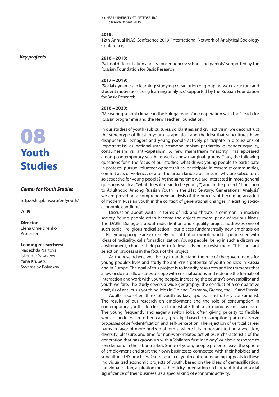Russian Foundation for Basic Research;

### **2019:**

12th Annual INAS Conference 2019 (International Network of Analytical Sociology Conference)

"School differentiation and its consequences: school and parents" supported by the

*Key projects*

### **2017 – 2019:**

**2016 – 2018:** 

"Social dynamics in learning: studying coevolution of group network structure and student motivation using learning analytics" supported by the Russian Foundation for Basic Research;

### **2016 – 2020:**

"Measuring school climate in the Kaluga region" in cooperation with the "Teach for Russia" programme and the New Teacher Foundation.

In our studies of youth (sub)cultures, solidarities, and civil activism, we deconstruct the stereotype of Russian youth as apolitical and the idea that subcultures have disappeared. Teenagers and young people actively participate in discussions of important issues: nationalism vs. cosmopolitanism, patriarchy vs. gender equality, consumerism vs. anti-capitalism. A new mainstream "majority" has appeared among contemporary youth, as well as new marginal groups. Thus, the following questions form the focus of our studies: what drives young people to participate in protests, pursue volunteer opportunities, participate in extremist communities, commit acts of violence, or alter the urban landscape. In sum, why are subcultures so attractive for young people? At the same time we are interested in more general questions such as "what does it mean to be young?", and in the project "Transition to Adulthood Among Russian Youth in the 21st Century: Generational Analysis" we are providing a comprehensive analysis of the process of becoming an adult of modern Russian youth in the context of generational changes in existing socioeconomic conditions.

Discussion about youth in terms of risk and threats is common in modern society. Young people often become the object of moral panic of various kinds. The DARE: Dialogues about radicalisation and equality project addresses one of such topic - religious radicalization - but places fundamentally new emphasis on it. Not young people are extremely radical, but our whole world is permeated with ideas of radicality, calls for radicalization. Young people, being in such a discursive environment, choose their path: to follow calls or to resist them. This constant selection process is in the focus of the project.

As the researchers, we also try to understand the role of the governments for young people's lives and study the anti-crisis potential of youth policies in Russia and in Europe. The goal of this project is to identify resources and instruments that allow or do not allow states to cope with crisis situations and redefine the formats of interaction and work with young people, increasing the country's own stability and youth welfare. The study covers a wide geography: the conduct of a comparative analysis of anti-crisis youth policies in Finland, Germany, Greece, the UK and Russia.

Adults also often think of youth as lazy, spoiled, and utterly consumerist. The results of our research on employment and the role of consumption in contemporary youth life clearly demonstrate that such opinions are inaccurate. The young frequently and eagerly switch jobs, often giving priority to flexible work schedules. In other cases, prestige-based consumption patterns serve processes of self-identification and self-perception. The rejection of vertical career paths in favor of more horizontal forms, where it is important to find a vocation, diversity, pleasure, and time for non-work-related activities, is characteristic of the generation that has grown up with a "children-first ideology," or else a response to low demand in the labor market. Some of young people prefer to leave the sphere of employment and start their own businesses connected with their hobbies and subcultural DIY practices. Our research of youth entrepreneurship appeals to these individualized economic projects of youth, based on the ideas of demassification, individualization, aspiration for authenticity, orientation on biographical and social significance of their business, as a special kind of economic activity.

## 08 **Youth Studies**

### *Center for Youth Studies*

http://sh.spb.hse.ru/en/youth/

2009

### **Director**

Elena Omelchenko, Professor

### **Leading researchers:**

Nadezhda Nartova Iskеnder Yasaveev Yana Krupets Svyatoslav Polyakov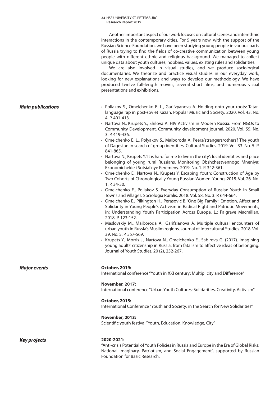Another important aspect of our work focuses on cultural scenes and interethnic interactions in the contemporary cities. For 5 years now, with the support of the Russian Science Foundation, we have been studying young people in various parts of Russia trying to find the fields of co-creative communication between young people with different ethnic and religious background. We managed to collect unique data about youth cultures, hobbies, values, existing rules and solidarities.

We are also involved in visual studies, and we produce sociological documentaries. We theorize and practice visual studies in our everyday work, looking for new explanations and ways to develop our methodology. We have produced twelve full-length movies, several short films, and numerous visual presentations and exhibitions.

- **Main publications** Poliakov S., Omelchenko E. L., Garifzyanova A. Holding onto your roots: Tatarlanguage rap in post-soviet Kazan. Popular Music and Society. 2020. Vol. 43. No. 4. P. 401-413.
	- Nartova N., Krupets Y., Shilova A. HIV Activism in Modern Russia: From NGOs to Community Development. Community development journal. 2020. Vol. 55. No. 3. P. 419-436.
	- Omelchenko E. L., Polyakov S., Maiboroda A. Peers/strangers/others? The youth of Dagestan in search of group identities. Cultural Studies. 2019. Vol. 33. No. 5. P. 841-865.
	- Nartova N., Krupets Y. 'It is hard for me to live in the city': local identities and place belonging of young rural Russians. Monitoring Obshchestvennogo Mneniya: Ekonomichekie i Sotsial'nye Peremeny. 2019. No. 1. P. 342-361.
	- Omelchenko E., Nartova N., Krupets Y. Escaping Youth: Construction of Age by Two Cohorts of Chronologically Young Russian Women. Young, 2018. Vol. 26. No. 1. P. 34-50.
	- Omelchenko E., Poliakov S. Everyday Consumption of Russian Youth in Small Towns and Villages. Sociologia Ruralis. 2018. Vol. 58. No. 3. P. 644-664.
	- Omelchenko E., Pilkington H., Perasović B. 'One Big Family': Emotion, Affect and Solidarity in Young People's Activism in Radical Right and Patriotic Movements, in: Understanding Youth Participation Across Europe. L.: Palgrave Macmillan, 2018. P. 123-152.
	- Maslovskiy M., Maiboroda A., Garifzianova A. Multiple cultural encounters of urban youth in Russia's Muslim regions. Journal of Intercultural Studies. 2018. Vol. 39. No. 5. P. 557-569.
	- Krupets Y., Morris J., Nartova N., Omelchenko E., Sabirova G. (2017). Imagining young adults' citizenship in Russia: from fatalism to affective ideas of belonging. Journal of Youth Studies, 20 (2), 252-267.

### *Major events* **October, 2019:**

International conference "Youth in XXI century: Multiplicity and Difference"

### **November, 2017:**

International conference "Urban Youth Cultures: Solidarities, Creativity, Activism"

### **October, 2015:**

International Conference "Youth and Society: in the Search for New Solidarities"

### **November, 2013:**

Scientific youth festival "Youth, Education, Knowledge, City"

*Key projects* **2020-2021:** 

"Anti-crisis Potential of Youth Policies in Russia and Europe in the Era of Global Risks: National Imaginary, Patriotism, and Social Engagement", supported by Russian Foundation for Basic Research.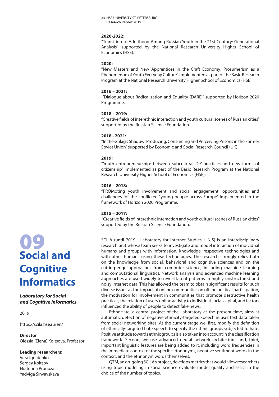### **2020-2022:**

"Transition to Adulthood Among Russian Youth in the 21st Century: Generational Analysis", supported by the National Research University Higher School of Economics (HSE).

### **2020:**

"New Masters and New Apprentices in the Craft Economy: Prosumerism as a Phenomenon of Youth Everyday Culture", implemented as part of the Basic Research Program at the National Research University Higher School of Economics (HSE)

### **2016 – 2021:**

 "Dialogue about Radicalization and Equality (DARE)" supported by Horizon 2020 Programme.

### **2018 – 2019:**

"Creative fields of interethnic interaction and youth cultural scenes of Russian cities" supported by the Russian Science Foundation.

### **2018 - 2021:**

"In the Gulag's Shadow: Producing, Consuming and Perceiving Prisons in the Former Soviet Union" supported by Economic and Social Research Council (UK).

### **2019:**

"Youth entrepreneurship: between subcultural DIY-practices and new forms of citizenship" implemented as part of the Basic Research Program at the National Research University Higher School of Economics (HSE).

### **2016 – 2018:**

"PROMoting youth involvement and social engagement: opportunities and challenges for the conflicted "young people across Europe" implemented in the framework of Horizon 2020 Programme.

### **2015 – 2017:**

 "Creative fields of interethnic interaction and youth cultural scenes of Russian cities" supported by the Russian Science Foundation.

SCILA (until 2019 - Laboratory for Internet Studies, LINIS) is an interdisciplinary research unit whose team seeks to investigate and model interaction of individual humans and groups with information, knowledge, respective technologies and with other humans using these technologies. The research strongly relies both on the knowledge from social, behavioral and cognitive sciences and on the cutting-edge approaches from computer science, including machine learning and computational linguistics. Network analysis and advanced machine learning approaches are used widely to reveal latent patterns in highly unstructured and noisy Internet data. This has allowed the team to obtain significant results for such diverse issues as the impact of online communities on offline political participation, the motivation for involvement in communities that promote destructive health practices, the relation of users' online activity to individual social capital, and factors influenced the ability of people to detect fake news.

EthnoHate, a central project of the Laboratory at the present time, aims at automatic detection of negative ethnicity-targeted speech in user text data taken from social networking sites. At the current stage we, first, modify the definition of ethnically-targeted hate speech to specify the ethnic groups subjected to hate. Positive attitude towards ethnic groups is also taken into account in the classification framework. Second, we use advanced neural network architecture, and, third, important linguistic features are being added to it, including word frequencies in the immediate context of the specific ethnonyms, negative sentiment words in the context, and the ethnonym words themselves.

QTM, an on-going SCILA's project, develops metrics that would allow researchers using topic modeling in social science evaluate model quality and assist in the choice of the number of topics.

## 09 **Social and Cognitive Informatics**

*Laboratory for Social and Cognitive Informatics*

2019

https://scila.hse.ru/en/

### **Director**

Olessia (Elena) Koltsova, Professor

### **Leading researchers:**

Vera Ignatenko Sergey Koltsov Ekaterina Pronoza Yadviga Sinyavskaya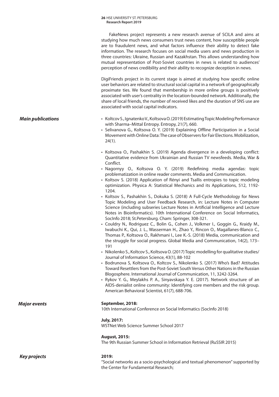FakeNews project represents a new research avenue of SCILA and aims at studying how much news consumers trust news content, how susceptible people are to fraudulent news, and what factors influence their ability to detect fake information. The research focuses on social media users and news production in three countries: Ukraine, Russian and Kazakhstan. This allows understanding how mutual representation of Post-Soviet countries in news is related to audiences' perception of news credibility and their ability to recognize deception in news.

DigiFriends project in its current stage is aimed at studying how specific online user behaviors are related to structural social capital in a network of geographically proximate ties. We found that membership in more online groups is positively associated with user's centrality in the location-bounded network. Additionally, the share of local friends, the number of received likes and the duration of SNS use are associated with social capital indicators.

- Koltcov S., Ignatenko V., Koltsova O. (2019) Estimating Topic Modeling Performance with Sharma–Mittal Entropy. Entropy, 21(7), 660.
- Selivanova G., Koltsova O. Y. (2019) Explaining Offline Participation in a Social Movement with Online Data: The case of Observers for Fair Elections. Mobilization, 24(1).
- Koltsova O., Pashakhin S. (2019) Agenda divergence in a developing conflict: Quantitative evidence from Ukrainian and Russian TV newsfeeds. Media, War & Conflict.
- Nagornyy O., Koltsova O. Y. (2019) Redefining media agendas: topic problematization in online reader comments. Media and Communication.
- Koltsov S. (2018) Application of Rényi and Tsallis entropies to topic modeling optimization. Physica A: Statistical Mechanics and its Applications, 512, 1192- 1204.
- Koltsov S., Pashakhin S., Dokuka S. (2018) A Full-Cycle Methodology for News Topic Modeling and User Feedback Research, in: Lecture Notes in Computer Science (including subseries Lecture Notes in Artificial Intelligence and Lecture Notes in Bioinformatics). 10th International Conference on Social Informatics, SocInfo 2018; St.Petersburg. Cham: Springer, 308-321.
- Couldry N., Rodriguez C., Bolin G., Cohen J., Volkmer I., Goggin G., Кraidy M., Iwabuchi K., Qui, J. L., Wasserman H., Zhao Y., Rincon O., Magallanes-Blanco C., Thomas P., Koltsova O., Rakhmani I., Lee K.-S. (2018) Media, communication and the struggle for social progress. Global Media and Communication, 14(2), 173– 191
- Nikolenko S., Koltcov S., Koltsova O. (2017) Topic modelling for qualitative studies/ Journal of Information Science, 43(1), 88-102
- Bodrunova S, Koltsova O., Koltcov S., Nikolenko S. (2017) Who's Bad? Attitudes Toward Resettlers from the Post-Soviet South Versus Other Nations in the Russian Blogosphere. International Journal of Communication, 11, 3242-3264.
- Rykov Y. G., Meylakhs P. A., Sinyavskaya Y. E. (2017). Network structure of an AIDS-denialist online community: Identifying core members and the risk group. American Behavioral Scientist, 61(7), 688-706.

### *Major events* **September, 2018:**

10th International Conference on Social Informatics (SocInfo 2018)

### **July, 2017:**

WSTNet Web Science Summer School 2017

### **August, 2015:**

The 9th Russian Summer School in Information Retrieval (RuSSIR 2015)

"Social networks as a socio-psychological and textual phenomenon" supported by the Center for Fundamental Research;

*Main publications*

### *Key projects* **2019:**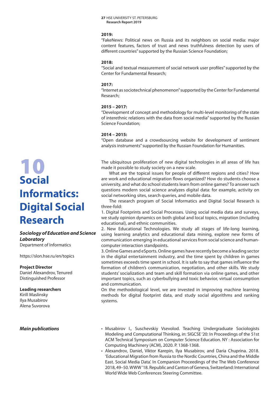### **2019:**

"FakeNews: Political news on Russia and its neighbors on social media: major content features, factors of trust and news truthfulness detection by users of different countries" supported by the Russian Science Foundation;

### **2018:**

"Social and textual measurement of social network user profiles" supported by the Center for Fundamental Research;

### **2017:**

"Internet as sociotechnical phenomenon" supported by the Center for Fundamental Research;

### **2015 – 2017:**

"Development of concept and methodology for multi-level monitoring of the state of interethnic relations with the data from social media" supported by the Russian Science Foundation;

### **2014 – 2015:**

"Open database and a crowdsourcing website for development of sentiment analysis instruments" supported by the Russian Foundation for Humanities.

The ubiquitous proliferation of new digital technologies in all areas of life has made it possible to study society on a new scale.

What are the topical issues for people of different regions and cities? How are work and educational migration flows organized? How do students choose a university, and what do school students learn from online games? To answer such questions modern social science analyzes digital data: for example, activity on social networking sites, search queries, and mobile data.

The research program of Social Informatics and Digital Social Research is three-fold:

1. Digital Footprints and Social Processes. Using social media data and surveys, we study opinion dynamics on both global and local topics, migration (including educational), and ethnic communities.

2. New Educational Technologies. We study all stages of life-long learning, using learning analytics and educational data mining, explore new forms of communication emerging in educational services from social science and humancomputer interaction standpoints.

3. Online Games and eSports. Online games have recently become a leading sector in the digital entertainment industry, and the time spent by children in games sometimes exceeds time spent in school. It is safe to say that games influence the formation of children's communication, negotiation, and other skills. We study students' socialization and team and skill formation via online games, and other important topics, such as cyberbullying and toxic behavior, virtual consumption and communication.

On the methodological level, we are invested in improving machine learning methods for digital footprint data, and study social algorithms and ranking systems.

- Musabirov I., Suschevskiy Vsevolod. Teaching Undergraduate Sociologists Modeling and Computational Thinking, in: SIGCSE '20: In Proceedings of the 51st ACM Technical Symposium on Computer Science Education. NY : Association for Computing Machinery (ACM), 2020. P. 1368-1368.
- Alexandrov, Daniel, Viktor Karepin, Ilya Musabirov, and Daria Chuprina. 2018. 'Educational Migration from Russia to the Nordic Countries, China and the Middle East. Social Media Data'. In Companion Proceedings of the The Web Conference 2018, 49–50. WWW '18. Republic and Canton of Geneva, Switzerland: International World Wide Web Conferences Steering Committee.

## 10 **Social Informatics: Digital Social Research**

### *Sociology of Education and Science Laboratory*

Department of Informatics

https://slon.hse.ru/en/topics

### **Project Director**

Daniel Alexandrov, Tenured Distinguished Professor

### **Leading researchers**

Kirill Maslinsky Ilya Musabirov Alena Suvorova

### *Main publications*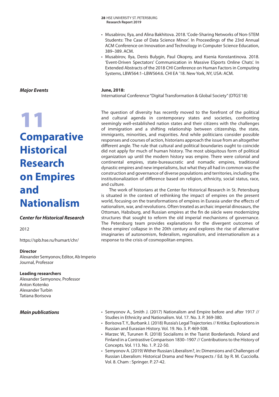- Musabirov, Ilya, and Alina Bakhitova. 2018. 'Code-Sharing Networks of Non-STEM Students: The Case of Data Science Minor'. In Proceedings of the 23rd Annual ACM Conference on Innovation and Technology in Computer Science Education, 389–389. ACM.
- Musabirov, Ilya, Denis Bulygin, Paul Okopny, and Ksenia Konstantinova. 2018. 'Event-Driven Spectators' Communication in Massive ESports Online Chats'. In Extended Abstracts of the 2018 CHI Conference on Human Factors in Computing Systems, LBW564:1–LBW564:6. CHI EA '18. New York, NY, USA: ACM.

### **June, 2018:**

International Conference "Digital Transformation & Global Society" (DTGS'18)

The question of diversity has recently moved to the forefront of the political and cultural agenda in contemporary states and societies, confronting seemingly well-established nation states and their citizens with the challenges of immigration and a shifting relationship between citizenship, the state, immigrants, minorities, and majorities. And while politicians consider possible responses and courses of action, historians approach the issue from an altogether different angle. The rule that cultural and political boundaries ought to coincide did not apply for much of human history. The most ubiquitous form of political organization up until the modern history was empire. There were colonial and continental empires, state-bureaucratic and nomadic empires, traditional dynastic empires and new imperialisms, but what they all had in common was the construction and governance of diverse populations and territories, including the institutionalization of difference based on religion, ethnicity, social status, race, and culture.

The work of historians at the Center for Historical Research in St. Petersburg is situated in the context of rethinking the impact of empires on the present world, focusing on the transformations of empires in Eurasia under the effects of nationalism, war, and revolutions. Often treated as archaic imperial dinosaurs, the Ottoman, Habsburg, and Russian empires at the fin de siècle were modernizing structures that sought to reform the old imperial mechanisms of governance. The Petersburg team provides explanations for the divergent outcomes of these empires' collapse in the 20th century and explores the rise of alternative imaginaries of autonomism, federalism, regionalism, and internationalism as a response to the crisis of cosmopolitan empires.

*Major Events*

## 11 **Comparative Historical Research on Empires and Nationalism**

### *Center for Historical Research*

2012

https://spb.hse.ru/humart/chr/

### **Director**

Alexander Semyonov, Editor, Ab Imperio Journal, Professor

### **Leading researchers**

Alexander Semyonov, Professor Anton Kotenko Alexander Turbin Tatiana Borisova

- *Main publications* Semyonov A., Smith J. (2017) Nationalism and Empire before and after 1917 // Studies in Ethnicity and Nationalism. Vol. 17. No. 3. P. 369-380.
	- Borisova T. Y., Burbank J. (2018) Russia's Legal Trajectories // Kritika: Explorations in Russian and Eurasian History. Vol. 19. No. 3. P. 469-508.
	- Marzec W., Turunen R. (2018) Socialisms in the Tsarist Borderlands. Poland and Finland in a Contrastive Comparison 1830–1907 // Contributions to the History of Concepts. Vol. 113. No. 1. P. 22-50.
	- Semyonov A. (2019) Wither Russian Liberalism?, in: Dimensions and Challenges of Russian Liberalism: Historical Drama and New Prospects / Ed. by R. M. Cucciolla. Vol. 8. Cham : Springer. P. 27-42.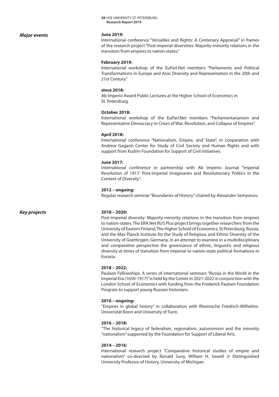### *Major events*

### **June 2019:**

International conference "Versailles and Rights: A Centenary Appraisal" in frames of the research project "Post-imperial diversities: Majority-minority relations in the transition from empires to nation-states."

### **February 2019:**

International workshop of the EuParl.Net members "Parliaments and Political Transformations in Europe and Asia: Diversity and Representation in the 20th and 21st Century."

### **since 2018:**

Ab Imperio Award Public Lectures at the Higher School of Economics in St. Petersburg.

### **October 2018:**

International workshop of the EuParl.Net members "Parliamentarianism and Representative Democracy in Crises of War, Revolution, and Collapse of Empires".

### **April 2018:**

International conference "Nationalism, Empire, and State", in cooperation with Andrew Gagarin Center for Study of Civil Society and Human Rights and with support from Kudrin Foundation for Support of Civil Initiatives.

### **June 2017:**

International conference in partnership with Ab Imperio Journal "Imperial Revolution of 1917: Post-Imperial Imaginaries and Revolutionary Politics in the Context of Diversity".

### **2012 – ongoing:**

Regular research seminar "Boundaries of History" chaired by Alexander Semyonov.

### *Key projects* **2018 – 2020:**

Post-imperial diversity: Majority-minority relations in the transition from empires to nation-states. The ERA.Net RUS Plus project brings together researchers from the University of Eastern Finland, The Higher School of Economics, St Petersburg, Russia, and the Max Planck Institute for the Study of Religious and Ethnic Diversity of the University of Goettingen, Germany, in an attempt to examine in a multidisciplinary and comparative perspective the governance of ethnic, linguistic and religious diversity at times of transition from Imperial to nation-state political formations in Eurasia.

### **2018 – 2022:**

Paulsen Fellowships. A series of international seminars "Russia in the World in the Imperial Era (1650-1917)" is held by the Center in 2021-2022 in conjunction with the London School of Economics with funding from the Frederick Paulsen Foundation Program to support young Russian historians.

### **2016 – ongoing:**

"Empires in global history" in collaboration with Rheinische Friedrich-Wilhelms-Universität Bonn and University of Turin.

### **2016 – 2018:**

"The historical legacy of federalism, regionalism, autonomism and the minority "nationalism" supported by the Foundation for Support of Liberal Arts.

### **2014 – 2016:**

International research project "Comparative historical studies of empire and nationalism" co-directed by Ronald Suny, William H. Sewell Jr Distinguished University Professor of History, University of Michigan.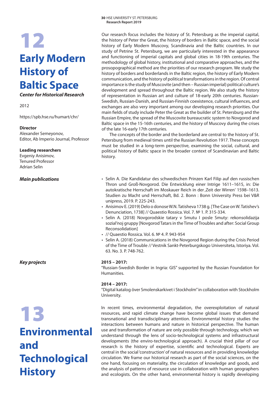## **Early Modern History of Baltic Space** 12

*Center for Historical Research*

2012

https://spb.hse.ru/humart/chr/

### **Director**

Alexander Semeyonov, Editor, Ab Imperio Journal, Professor

### **Leading researchers**

Evgeniy Anisimov, Tenured Professor Adrian Selin

## **Environmental and Technological History**

Our research focus includes the history of St. Petersburg as the imperial capital, the history of Peter the Great, the history of borders in Baltic space, and the social history of Early Modern Muscovy, Scandinavia and the Baltic countries. In our study of Petrine St. Petersburg, we are particularly interested in the appearance and functioning of imperial capitals and global cities in 18-19th centuries. The methodology of global history, institutional and comparative approaches, and the prosopographical method are the priorities of our research program. We study the history of borders and borderlands in the Baltic region, the history of Early Modern communication, and the history of political transformations in the region. Of central importance is the study of Muscovite (and then – Russian imperial) political culture's development and spread throughout the Baltic region. We also study the history of representation in Russian art and culture of 18-early 20th centuries. Russian-Swedish, Russian-Danish, and Russian-Finnish coexistence, cultural influences, and exchanges are also very important among our developing research priorities. Our main fields of study include Peter the Great as the builder of St. Petersburg and the Russian Empire, the spread of the Muscovite bureaucratic system to Novgorod and Baltic space in the 15-16th centuries, and the history of Muscovy during the crises of the late 16-early 17th centuries.

The concepts of the border and the borderland are central to the history of St. Petersburg from medieval times until the Russian Revolution 1917. These concepts must be studied in a long-term perspective, examining the social, cultural, and political history of Baltic space in the broader context of Scandinavian and Baltic history.

- *Main publications* Selin A. Die Kandidatur des schwedischen Prinzen Karl Filip auf den russischen Thron und Groß-Novgorod. Die Entwicklung einer Intrige 1611–1615, in: Die autokratische Herrschaft im Moskauer Reich in der ,Zeit der Wirren' 1598-1613. Studien zu Macht und Herrschaft, Bd. 2. Bonn : Bonn University Press bei V&R unipress, 2019. P. 225-243.
	- Anisimov E. (2019) Delo o donose W.N. Tatisheva 1738 g. [The Case on W. Tatishev's Denunciation, 1738] // Quaestio Rossica. Vol. 7. № 1. P. 315-334.
	- Selin A. (2018) Novgorodskie tatary v Smutu I posle Smuty: rekonsolidazija sozial'noj gruppy [Novgorod Tatars in the Time of Troubles and after: Social Group Reconsolidation]
	- // Quaestio Rossica. Vol. 6. № 4. P. 943-954
	- Selin A. (2018) Communications in the Novgorod Region during the Crisis Period of the Time of Trouble // Vestnik Sankt-Peterburgskogo Universiteta, Istoriya. Vol. 63. No. 3. P. 748-762.

### *Key projects* **2015 – 2017:**

"Russian-Swedish Border in Ingria: GIS" supported by the Russian Foundation for Humanities.

### **2014 – 2017:**

"Digital katalog över Smolenskarkivet i Stockholm" in collaboration with Stockholm University.

In recent times, environmental degradation, the overexploitation of natural<br>resources, and rapid climate change have become global issues that demand<br>transnational and transdisciplinary attention. Environmental history stu resources, and rapid climate change have become global issues that demand transnational and transdisciplinary attention. Environmental history studies the interactions between humans and nature in historical perspective. The human use and transformation of nature are only possible through technology, which we understand through the lens of socio-technological systems and infrastructural developments (the enviro-technological approach). A crucial third pillar of our research is the history of expertise, scientific and technological. Experts are central in the social 'construction' of natural resources and in providing knowledge circulation. We frame our historical research as part of the social sciences, on the one hand, focusing on materiality, the circulation of knowledge and goods, and the analysis of patterns of resource use in collaboration with human geographers and ecologists. On the other hand, environmental history is rapidly developing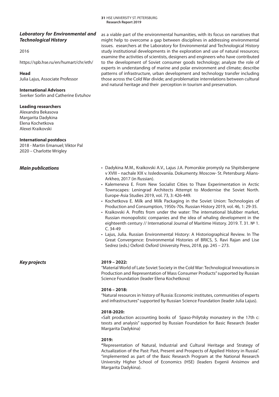### *Laboratory for Environmental and Technological History*

### 2016

https://spb.hse.ru/en/humart/chr/eth/

### **Head**

Julia Lajus, Associate Professor

### **International Advisors**

Sverker Sorlin and Catherine Evtuhov

### **Leading researchers**

Alexandra Bekasova Margarita Dadykina Elena Kochetkova Alexei Kraikovski

### **International postdocs**

2018 - Martin Emanuel; Viktor Pal 2020 – Charlotte Wrigley

### *Main publications*

as a viable part of the environmental humanities, with its focus on narratives that might help to overcome a gap between disciplines in addressing environmental issues. esearchers at the Laboratory for Environmental and Technological History study institutional developments in the exploration and use of natural resources; examine the activities of scientists, designers and engineers who have contributed to the development of Soviet consumer goods technology; analyze the role of experts in understanding of marine and polar environment and climate; describe patterns of infrastructure, urban development and technology transfer including those across the Cold War divide; and problematize interrelations between cultural and natural heritage and their perception in tourism and preservation.

- Dadykina M.M., Kraikovski A.V., Lajus J.A. Pomorskie promysly na Shpitsbergene v XVIII – nachale XIX v. Issledovaniia. Dokumenty. Moscow- St. Petersburg: Alians-Arkheo, 2017 (in Russian).
- Kalemeneva E. From New Socialist Cities to Thaw Experimentation in Arctic Townscapes: Leningrad Architects Attempt to Modernise the Soviet North. Europe-Asia Studies 2019, vol. 73, 3: 426-449.
- Kochetkova E. Milk and Milk Packaging in the Soviet Union: Technologies of Production and Consumption, 1950s-70s. Russian History 2019, vol. 46, 1: 29-35.
- Kraikovski A. Profits from under the water: The international blubber market, Russian monopolistic companies and the idea of whaling development in the eighteenth century // International Journal of Maritime History. 2019. Т. 31. № 1. С. 34-49
- Lajus, Julia. Russian Environmental History: A Historiographical Review. In The Great Convergence: Environmental Histories of BRICS, S. Ravi Rajan and Lise Sedrez (eds.) Oxford: Oxford University Press, 2018, pp. 245 – 273.

### *Key projects* **2019 – 2022:**

"Material World of Late Soviet Society in the Cold War: Technological Innovations in Production and Representation of Mass Consumer Products" supported by Russian Science Foundation (leader Elena Kochetkova)

### **2016 – 2018:**

"Natural resources in history of Russia: Economic institutes, communities of experts and infrastructures" supported by Russian Science Foundation (leader Julia Lajus).

### **2018-2020:**

«Salt production accounting books of Spaso-Prilytsky monastery in the 17th c: texsts and analysis" supported by Russian Foundation for Basic Research (leader Margarita Dadykina)

### **2019:**

**"**Representation of Natural, Industrial and Cultural Heritage and Strategy of Actualization of the Past: Past, Present and Prospects of Applied History in Russia". "implemented as part of the Basic Research Program at the National Research University Higher School of Economics (HSE) (leaders Evgenii Anisimov and Margarita Dadykina).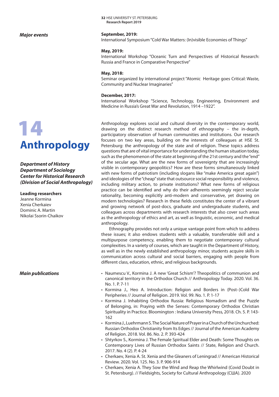### *Major events*

# **Anthropology**

*Department of History Department of Sociology Center for Historical Research (Division of Social Anthropology)*

### **Leading researchers**

Jeanne Kormina Xenia Cherkaiev Dominic A. Martin Nikolai Ssorin-Chaikov

32 HSE UNIVERSITY ST. PETERSBURG **Research Report 2019**

### **September, 2019:**

International Symposium "Cold War Matters: (In)visible Economies of Things"

### **May, 2019:**

International Workshop "Oceanic Turn and Perspectives of Historical Research: Russia and France in Comparative Perspective"

### **May, 2018:**

Seminar organized by international project "Atomic Heritage goes Critical: Waste, Community and Nuclear Imaginaries"

### **December, 2017:**

International Workshop "Science, Technology, Engineering, Environment and Medicine in Russia's Great War and Revolution, 1914 –1922".

Anthropology explores social and cultural diversity in the contemporary world, drawing on the distinct research method of ethnography – the in-depth, participatory observation of human communities and institutions. Our research focuses on two key areas, building on the interests of colleagues at HSE St. Petersburg: the anthropology of the state and of religion. These topics address questions that are of vital importance for understanding the human situation today, such as the phenomenon of the state at beginning of the 21st century and the "end" of the secular age. What are the new forms of sovereignty that are increasingly visible in contemporary geopolitics? How are these forms simultaneously linked with new forms of patriotism (including slogans like "make America great again") and ideologies of the "cheap" state that outsource social responsibility and violence, including military action, to private institutions? What new forms of religious practice can be identified and why do their adherents seemingly reject secular rationality, becoming explicitly anti-modern and conservative, yet drawing on modern technologies? Research in these fields constitutes the center of a vibrant and growing network of post-docs, graduate and undergraduate students, and colleagues across departments with research interests that also cover such areas as the anthropology of ethics and art, as well as linguistic, economic, and medical anthropology.

Ethnography provides not only a unique vantage point from which to address these issues; it also endows students with a valuable, transferrable skill and a multipurpose competency, enabling them to negotiate contemporary cultural complexities. In a variety of courses, which are taught in the Department of History, as well as in the newly established anthropology minor, students acquire skills in communication across cultural and social barriers, engaging with people from different class, education, ethnic, and religious backgrounds.

- **Main publications** Naumescu V., Kormina J. A new 'Great Schism'? Theopolitics of communion and canonical territory in the Orthodox Church // Anthropology Today. 2020. Vol. 36. No. 1. P. 7-11
	- Kormina J., Heo A. Introduction: Religion and Borders in (Post–)Cold War Peripheries // Journal of Religion. 2019. Vol. 99. No. 1. P. 1-17
	- Kormina J. Inhabiting Orthodox Russia: Religious Nomadism and the Puzzle of Belonging, in: Praying with the Senses: Contemporary Orthodox Christian Spirituality in Practice. Bloomington : Indiana University Press, 2018. Ch. 5. P. 143- 162
	- Kormina J., Luehrmann S. The Social Nature of Prayer in a Church of the Unchurched: Russian Orthodox Christianity from Its Edges // Journal of the American Academy of Religion. 2018. Vol. 86. No. 2. P. 393-424
	- Shtyrkov S., Kormina J. The Female Spiritual Elder and Death: Some Thoughts on Contemporary Lives of Russian Orthodox Saints // State, Religion and Church. 2017. No. 4 (2). P. 4-24
	- Cherkaev, Xenia A. St. Xenia and the Gleaners of Leningrad // American Historical Review. 2020. Vol. 125. No. 3. P. 906-914
	- Cherkaev, Xenia A. They Sow the Wind and Reap the Whirlwind (Covid Doubt in St. Petersburg). // Fieldsights, Society for Cultural Anthropology (США). 2020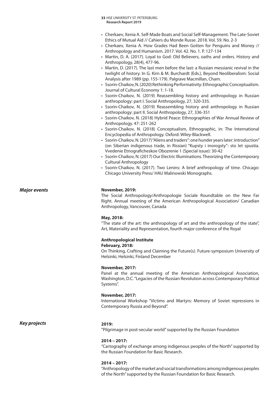- 33 HSE UNIVERSITY ST. PETERSBURG **Research Report 2019**
- Cherkaev, Xenia A. Self-Made Boats and Social Self-Management. The Late-Soviet Ethics of Mutual Aid // Cahiers du Monde Russe. 2018. Vol. 59. No. 2-3
- Cherkaev, Xenia A. How Grades Had Been Gotten for Penguins and Money // Anthropology and Humanism. 2017. Vol. 42. No. 1. P. 127-134
- Martin, D. A. (2017). Loyal to God: Old Believers, oaths and orders. History and Anthropology, 28(4), 477-96.
- Martin, D. (2017). The last men before the last: a Russian messianic revival in the twilight of history. In G. Kirn & M. Burchardt (Eds.), Beyond Neoliberalism: Social Analysis after 1989 (pp. 155-179). Palgrave Macmillan, Cham.
- Ssorin-Chaikov, N. (2020) Rethinking Performativity: Ethnographic Conceptualism. Journal of Cultural Economy 1: 1-18.
- Ssorin-Chaikov, N. (2019) Reassembling history and anthropology in Russian anthropology: part I. Social Anthropology, 27, 320-335.
- Ssorin-Chaikov, N. (2019) Reassembling history and anthropology in Russian anthropology: part II. Social Anthropology, 27, 336-351
- Ssorin-Chaikov, N. (2018) Hybrid Peace: Ethnographies of War Annual Review of Anthropology. 47: 251-262
- Ssorin-Chaikov, N. (2018) Conceptualism, Ethnographic, in: The International Encyclopedia of Anthropology. Oxford: Wiley-Blackwell.
- Ssorin-Chaikov, N. (2017) "Aliens and traders": one hunder years later: introduction" (on Siberian indigenous trade, in Rissian) "Kupsty i inorogsty": sto let spustia. Vvedenie Etnograficheskoe Obozrenie 1 (Special issue): 30-42
- Ssorin-Chaikov, N. (2017) Our Electric Illuminations. Theorizing the Contemporary Cultural Anthropology
- Ssorin-Chaikov, N. (2017). Two Lenins: A brief anthropology of time. Chicago: Chicago University Press/ HAU Malinowski Monographs.

### *Major events* **November, 2019:**

The Social Anthropology/Anthropologie Sociale Roundtable on the New Far Right. Annual meeting of the American Anthropological Association/ Canadian Anthropology, Vancouver, Canada

### **May, 2018:**

"The state of the art: the anthropology of art and the anthropology of the state", Art, Materiality and Representation, fourth major conference of the Royal

### **Anthropological Institute**

### **February, 2018:**

On Thinking, Crafting and Claiming the Future(s). Future-symposium University of Helsinki, Helsinki, Finland December

### **November, 2017:**

Panel at the annual meeting of the American Anthropological Association, Washington, D.C. "Legacies of the Russian Revolution across Contemporary Political Systems".

### **November, 2017:**

International Workshop "Victims and Martyrs: Memory of Soviet repressions in Contemporary Russia and Beyond".

*Key projects* **2019:**

"Pilgrimage in post-secular world" supported by the Russian Foundation

### **2014 – 2017:**

"Cartography of exchange among indigenous peoples of the North" supported by the Russian Foundation for Basic Research.

### **2014 – 2017:**

"Anthropology of the market and social transformations among indigenous peoples of the North" supported by the Russian Foundation for Basic Research.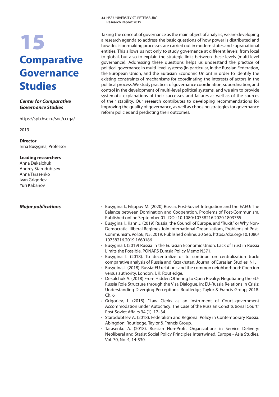## 15 **Comparative Governance Studies**

### *Center for Comparative Governance Studies*

https://spb.hse.ru/soc/ccrga/

2019

**Director** Irina Busygina, Professor

### **Leading researchers**

Anna Dekalchuk Andrey Starodubtsev Anna Tarasenko Ivan Grigoriev Yuri Kabanov

Taking the concept of governance as the main object of analysis, we are developing a research agenda to address the basic questions of how power is distributed and how decision-making processes are carried out in modern states and supranational entities. This allows us not only to study governance at different levels, from local to global, but also to explain the strategic links between these levels (multi-level governance). Addressing these questions helps us understand the practice of political governance in multi-level systems (in particular, in the Russian Federation, the European Union, and the Eurasian Economic Union) in order to identify the existing constraints of mechanisms for coordinating the interests of actors in the political process. We study practices of governance coordination, subordination, and control in the development of multi-level political systems, and we aim to provide systematic explanations of their successes and failures as well as of the sources of their stability. Our research contributes to developing recommendations for improving the quality of governance, as well as choosing strategies for governance reform policies and predicting their outcomes.

- *Major publications* Busygina I., Filippov M. (2020) Russia, Post-Soviet Integration and the EAEU: The Balance between Domination and Cooperation, Problems of Post-Communism, Published online September 01. DOI: 10.1080/10758216.2020.1803755
	- Busygina I., Kahn J. (2019) Russia, the Council of Europe, and "Ruxit," or Why Non-Democratic Illiberal Regimes Join International Organizations, Problems of Post-Communism, Vol.66, N5, 2019. Published online: 30 Sep, https://doi.org/10.1080/ 10758216.2019.1660186
	- Busygina I. (2019) Russia in the Eurasian Economic Union: Lack of Trust in Russia Limits the Possible. PONARS Eurasia Policy Memo N571.
	- Busygina I. (2018). To decentralize or to continue on centralization track: comparative analysis of Russia and Kazakhstan, Journal of Eurasian Studies, N1.
	- Busygina, I. (2018). Russia-EU relations and the common neighborhood: Coercion versus authority. London, UK: Routledge.
	- Dekalchuk A. (2018) From Hidden Othering to Open Rivalry: Negotiating the EU-Russia Role Structure through the Visa Dialogue, in: EU-Russia Relations in Crisis: Understanding Diverging Perceptions. Routledge, Taylor & Francis Group, 2018. Ch. 6
	- Grigoriev, I. (2018). "Law Clerks as an Instrument of Court–government Accommodation under Autocracy: The Case of the Russian Constitutional Court." Post-Soviet Affairs 34 (1): 17–34.
	- Starodubtsev A. (2018). Federalism and Regional Policy in Contemporary Russia. Abingdon: Routledge, Taylor & Francis Group.
	- Tarasenko A. (2018). Russian Non-Profit Organizations in Service Delivery: Neoliberal and Statist Social Policy Principles Intertwined. Europe - Asia Studies. Vol. 70, No. 4, 14-530.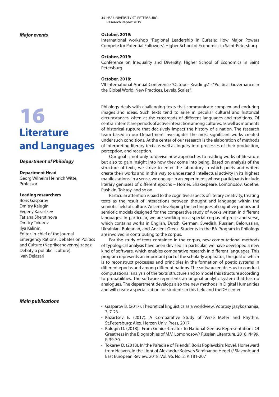### *Major events*

## 16 **Literature and Languages**

### *Department of Philology*

### **Department Head**

Georg Wilhelm Heinrich Witte, Professor

### **Leading researchers**

Boris Gasparov Dmitry Kalugin Evgeny Kazartsev Tatiana Sherstinova Dmitry Tokarev Ilya Kalinin, Editor-in-chief of the journal Emergency Rations: Debates on Politics and Culture (Neprikosnovennyj zapas: Debaty o politike i culture) Ivan Delazari

### *Main publications*

**35 HSE UNIVERSITY ST. PETERSBURG Research Report 2019**

### **October, 2019:**

International workshop "Regional Leadership in Eurasia: How Major Powers Compete for Potential Followers", Higher School of Economics in Saint-Petersburg

### **October, 2019:**

Conference on Inequality and Diversity, Higher School of Economics in Saint Petersburg

### **October, 2018:**

VII International Annual Conference "October Readings" - "Political Governance in the Global World: New Practices, Levels, Scales".

Philology deals with challenging texts that communicate complex and enduring images and ideas. Such texts tend to arise in peculiar cultural and historical circumstances, often at the crossroads of different languages and traditions. Of central interest are periods of active interaction among cultures, as well as moments of historical rupture that decisively impact the history of a nation. The research team based in our Department investigates the most significant works created under such conditions. At the center of our research is the elaboration of methods of interpreting literary texts as well as inquiry into processes of their production, perception, and reception.

Our goal is not only to devise new approaches to reading works of literature but also to gain insight into how they come into being. Based on analysis of the structure of texts, we strive to enter the laboratory in which poets and writers create their works and in this way to understand intellectual activity in its highest manifestations. In a sense, we engage in an experiment, whose participants include literary geniuses of different epochs – Homer, Shakespeare, Lomonosov, Goethe, Pushkin, Tolstoy, and so on.

Particular attention is paid to the cognitive aspects of literary creativity, treating texts as the result of interactions between thought and language within the semiotic field of culture. We are developing the techniques of cognitive poetics and semiotic models designed for the comparative study of works written in different languages. In particular, we are working on a special corpus of prose and verse, which contains works in English, Dutch, German, Swedish, Russian, Belorussian, Ukrainian, Bulgarian, and Ancient Greek. Students in the BA Program in Philology are involved in contributing to the corpus.

For the study of texts contained in the corpus, new computational methods of typological analysis have been devised. In particular, we have developed a new kind of software, which enables comparative research in different languages. This program represents an important part of the scholarly apparatus, the goal of which is to reconstruct processes and principles in the formation of poetic systems in different epochs and among different nations. The software enables us to conduct computational analysis of the texts' structure and to model this structure according to probabilities. The software represents an original analytic system that has no analogues. The department develops also the new methods in Digital Humanities and will create a specialization for students in this field and theDH center.

- Gasparov B. (2017). Theoretical linguistics as a worldview. Voprosy jazykoznanija, 3, 7-23.
- Kazartsev E. (2017). A Comparative Study of Verse Meter and Rhythm. St.Petersburg: Alex. Herzen Univ. Press, 2017.
- Kalugin D. (2018). From Genius-Creator To National Genius: Representations Of Greatness in the Biographies of M.V. Lomonosov// Russian Literature. 2018. № 99. P. 39-70.
- Tokarev D. (2018). In 'the Paradise of Friends': Boris Poplavskii's Novel, Homeward from Heaven, in the Light of Alexandre Kojève's Seminar on Hegel // Slavonic and East European Review. 2018. Vol. 96. No. 2. P. 181-207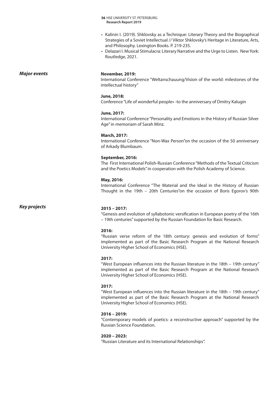- Kalinin I. (2019). Shklovsky as a Technique: Literary Theory and the Biographical Strategies of a Soviet Intellectual // Viktor Shklovsky's Heritage in Literature, Arts, and Philosophy. Lexington Books. P. 219-235.
- Delazari I. Musical Stimulacra: Literary Narrative and the Urge to Listen. New York: Routledge, 2021.

### *Major events*

### **November, 2019:**

International Conference "Weltanschauung/Vision of the world: milestones of the intellectual history"

### **June, 2018:**

Conference "Life of wonderful people» -to the anniversary of Dmitry Kalugin

### **June, 2017:**

International Conference "Personality and Emotions in the History of Russian Silver Age" in memoriam of Sarah Minz.

### **March, 2017:**

International Conference "Non-Wax Person"on the occasion of the 50 anniversary of Arkady Blumbaum.

### **September, 2016:**

The First International Polish-Russian Conference "Methods of the Textual Criticism and the Poetics Models" in cooperation with the Polish Academy of Science.

### **May, 2016:**

International Conference "The Material and the Ideal in the History of Russian Thought in the 19th – 20th Centuries"on the occasion of Boris Egorov's 90th

*Key projects*

### **2015 – 2017:**

"Genesis and evolution of syllabotonic versification in European poetry of the 16th – 19th centuries" supported by the Russian Foundation for Basic Research.

### **2016:**

"Russian verse reform of the 18th century: genesis and evolution of forms" implemented as part of the Basic Research Program at the National Research University Higher School of Economics (HSE).

### **2017:**

"West European influences into the Russian literature in the 18th – 19th century" implemented as part of the Basic Research Program at the National Research University Higher School of Economics (HSE).

### **2017:**

"West European influences into the Russian literature in the 18th – 19th century" implemented as part of the Basic Research Program at the National Research University Higher School of Economics (HSE).

### **2016 – 2019:**

"Contemporary models of poetics: a reconstructive approach" supported by the Russian Science Foundation.

### **2020 – 2023:**

"Russian Literature and its International Relationships".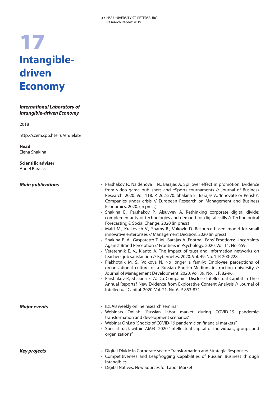## 17 **Intangibledriven Economy**

### *International Laboratory of Intangible-driven Economy*

2018

http://scem.spb.hse.ru/en/ielab/

**Head** Elena Shakina

**Scientific adviser** Angel Barajas

### *Main publications*

- Parshakov P., Naidenova I. N., Barajas A. Spillover effect in promotion: Evidence from video game publishers and eSports tournaments // Journal of Business Research. 2020. Vol. 118. P. 262-270. Shakina E., Barajas A. 'Innovate or Perish?': Companies under crisis // European Research on Management and Business Economics. 2020. (in press)
- Shakina E., Parshakov P., Alsuvyev A. Rethinking corporate digital divide: complementarity of technologies and demand for digital skills // Technological Forecasting & Social Change. 2020 (in press)
- Maiti M., Krakovich V., Shams R., Vukovic D. Resource-based model for small innovative enterprises // Management Decision. 2020 (in press)
- Shakina E. A., Gasparetto T. M., Barajas A. Football Fans' Emotions: Uncertainty Against Brand Perception // Frontiers in Psychology. 2020. Vol. 11. No. 659.
- Veretennik E. V., Kianto A. The impact of trust and information networks on teachers' job satisfaction // Kybernetes. 2020. Vol. 49. No. 1. P. 200-228.
- Plakhotnik M. S., Volkova N. No longer a family: Employee perceptions of organizational culture of a Russian English-Medium instruction university // Journal of Management Development. 2020. Vol. 39. No. 1. P. 82-96.
- Parshakov P., Shakina E. A. Do Companies Disclose Intellectual Capital in Their Annual Reports? New Evidence from Explorative Content Analysis // Journal of Intellectual Capital. 2020. Vol. 21. No. 6. P. 853-871

*Major events* • IDLAB weekly online research seminar

- Webinars OnLab "Russian labor market during COVID-19 pandemic: transformation and development scenarios"
- Webinar OnLab "Shocks of COVID-19 pandemic on financial markets"
- Special track within AMEC 2020 "Intellectual capital of individuals, groups and organizations"

- *Key projects* Digital Divide in Corporate sector: Transformation and Strategic Responses
	- Competitiveness and Leapfrogging Capabilities of Russian Business through Intangibles
	- Digital Natives: New Sources for Labor Market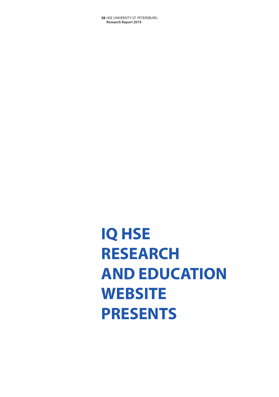## **IQ HSE RESEARCH AND EDUCATION WEBSITE PRESENTS**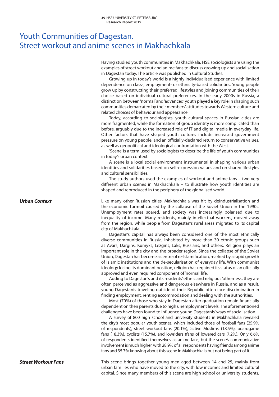### Youth Communities of Dagestan. Street workout and anime scenes in Makhachkala

Having studied youth communities in Makhachkala, HSE sociologists are using the examples of street workout and anime fans to discuss growing up and socialisation in Dagestan today. The article was published in Cultural Studies.

Growing up in today's world is a highly individualised experience with limited dependence on class-, employment- or ethnicity-based solidarities. Young people grow up by constructing their preferred lifestyles and joining communities of their choice based on individual cultural preferences. In the early 2000s in Russia, a distinction between 'normal' and 'advanced' youth played a key role in shaping such communities demarcated by their members' attitudes towards Western culture and related choices of behaviour and appearance.

Today, according to sociologists, youth cultural spaces in Russian cities are more fragmented, while the formation of group identity is more complicated than before, arguably due to the increased role of IT and digital media in everyday life. Other factors that have shaped youth cultures include increased government pressure on young people, and an officially-declared return to conservative values, as well as geopolitical and ideological confrontation with the West.

'Scene' is a term used by sociologists to describe the life of youth communities in today's urban context.

A scene is a local social environment instrumental in shaping various urban identities and solidarities based on self-expression values and on shared lifestyles and cultural sensibilities.

The study authors used the examples of workout and anime fans – two very different urban scenes in Makhachkala – to illustrate how youth identities are shaped and reproduced in the periphery of the globalised world.

Like many other Russian cities, Makhachkala was hit by deindustrialisation and the economic turmoil caused by the collapse of the Soviet Union in the 1990s. Unemployment rates soared, and society was increasingly polarised due to inequality of income. Many residents, mainly intellectual workers, moved away from the region, while people from Dagestan's rural areas migrated to its capital city of Makhachkala.

Dagestan's capital has always been considered one of the most ethnically diverse communities in Russia, inhabited by more than 30 ethnic groups such as Avars, Dargins, Kumyks, Lezgins, Laks, Russians, and others. Religion plays an important role in the city and the broader region. Since the collapse of the Soviet Union, Dagestan has become a centre of re-Islamification, marked by a rapid growth of Islamic institutions and the de-secularisation of everyday life. With communist ideology losing its dominant position, religion has regained its status of an officially approved and even required component of 'normal' life.

Adding to Dagestan's and its residents' ethnic and religious 'otherness', they are often perceived as aggressive and dangerous elsewhere in Russia, and as a result, young Dagestanis traveling outside of their Republic often face discrimination in finding employment, renting accommodation and dealing with the authorities.

Most (70%) of those who stay in Dagestan after graduation remain financially dependent on their parents due to high unemployment levels. The aforementioned challenges have been found to influence young Dagestanis' ways of socialisation.

A survey of 800 high school and university students in Makhachkala revealed the city's most popular youth scenes, which included those of football fans (25.9% of respondents), street workout fans (20.1%), 'active Muslims' (18.5%), boardgame fans (18.3%), cyclists (15.7%), and lowriders (fans of lowered cars, 7.2%). Only 6.6% of respondents identified themselves as anime fans, but the scene's communicative involvement is much higher, with 28.9% of all respondents having friends among anime fans and 35.7% knowing about this scene in Makhachkala but not being part of it.

This scene brings together young men aged between 14 and 25, mainly from urban families who have moved to the city, with low incomes and limited cultural capital. Since many members of this scene are high school or university students,

*Urban Context*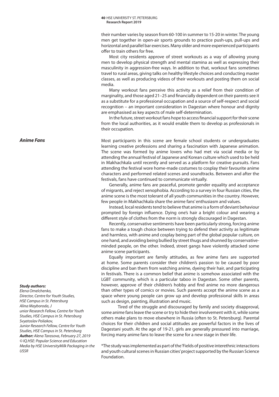their number varies by season from 60-100 in summer to 15-20 in winter. The young men get together in open-air sports grounds to practice push-ups, pull-ups and horizontal and parallel bar exercises. Many older and more experienced participants offer to train others for free.

Most city residents approve of street workouts as a way of allowing young men to develop physical strength and mental stamina as well as expressing their masculinity in aggression-free ways. In addition to that, workout fans sometimes travel to rural areas, giving talks on healthy lifestyle choices and conducting master classes, as well as producing videos of their workouts and posting them on social media.

Many workout fans perceive this activity as a relief from their condition of marginality, and those aged 21–25 and financially dependent on their parents see it as a substitute for a professional occupation and a source of self-respect and social recognition – an important consideration in Dagestan where honour and dignity are emphasised as key aspects of male self-determination.

In the future, street workout fans hope to access financial support for their scene from the local authorities, as it would enable them to develop as professionals in their occupation.

Most participants in this scene are female school students or undergraduates learning creative professions and sharing a fascination with Japanese animation. The scene was formed by anime lovers who had met via social media or by attending the annual festival of Japanese and Korean culture which used to be held in Makhachkala until recently and served as a platform for creative pursuits. Fans attending the festival wore home-made costumes to cosplay their favourite anime characters and performed related scenes and soundtracks. Between and after the festivals, fans have continued to communicate virtually.

Generally, anime fans are peaceful, promote gender equality and acceptance of migrants, and reject xenophobia. According to a survey in four Russian cities, the anime scene is the most tolerant of all youth communities in the country. However, few people in Makhachkala share the anime fans' enthusiasm and values.

Instead, local residents tend to believe that anime is a form of deviant behaviour prompted by foreign influence. Dying one's hair a bright colour and wearing a different style of clothes from the norm is strongly discouraged in Dagestan.

Recently, conservative sentiments have been particularly strong, forcing anime fans to make a tough choice between trying to defend their activity as legitimate and harmless, with anime and cosplay being part of the global popular culture, on one hand, and avoiding being bullied by street thugs and shunned by conservativeminded people, on the other. Indeed, street gangs have violently attacked some anime scene participants.

Equally important are family attitudes, as few anime fans are supported at home. Some parents consider their children's passion to be caused by poor discipline and ban them from watching anime, dyeing their hair, and participating in festivals. There is a common belief that anime is somehow associated with the LGBT community, which is a particular taboo in Dagestan. Some other parents, however, approve of their children's hobby and find anime no more dangerous than other types of comics or movies. Such parents accept the anime scene as a space where young people can grow up and develop professional skills in areas such as design, painting, illustration and music.

Tired of the struggle and discouraged by family and society disapproval, some anime fans leave the scene or try to hide their involvement with it, while some others make plans to move elsewhere in Russia (often to St. Petersburg). Parental choices for their children and social attitudes are powerful factors in the lives of Dagestani youth. At the age of 19-21, girls are generally pressured into marriage, forcing many anime fans to leave the scene for a new stage in their life.

\*The study was implemented as part of the 'Fields of positive interethnic interactions and youth cultural scenes in Russian cities' project supported by the Russian Science Foundation.

*Anime Fans*

### *Study authors:*

*Elena Omelchenko, Director, Centre for Youth Studies, HSE Campus in St. Petersburg Alina Mayboroda, J unior Research Fellow, Centre for Youth Studies, HSE Campus in St. Petersburg Svyatoslav Poliakov, Junior Research Fellow, Centre for Youth Studies, HSE Campus in St. Petersburg Author: Alena Tarasova, February 27, 2019 © IQ.HSE: Popular Science and Education Media by HSE UniversityMilk Packaging in the USSR*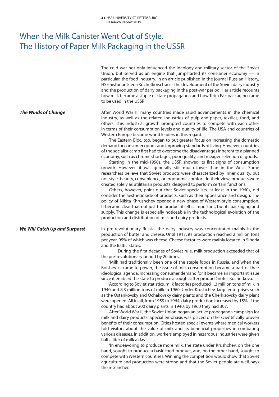### When the Milk Canister Went Out of Style. The History of Paper Milk Packaging in the USSR

The cold war not only influenced the ideology and military sector of the Soviet Union, but served as an engine that jumpstarted its consumer economy — in particular, the food industry. In an article published in the journal Russian History, HSE historian Elena Kochetkova traces the development of the Soviet dairy industry and the production of dairy packaging in the post-war period. Her article recounts how milk became a staple of state propaganda and how Tetra Pak packaging came to be used in the USSR.

After World War II, many countries made rapid advancements in the chemical industry, as well as the related industries of pulp-and-paper, textiles, food, and others. This industrial growth prompted countries to compete with each other in terms of their consumption levels and quality of life. The USA and countries of Western Europe became world leaders in this regard.

> The Eastern Bloc, too, began to put greater focus on increasing the domestic demand for consumer goods and improving standards of living. However, countries of the socialist camp first had to overcome the disadvantages inherent to a planned economy, such as chronic shortages, poor quality, and meager selection of goods.

> Starting in the mid-1950s, the USSR showed its first signs of consumption growth. However, it was generally still much lower than in the West. Some researchers believe that Soviet products were characterized by inner quality, but not style, beauty, convenience, or ergonomic comfort. In their view, products were created solely as utilitarian products, designed to perform certain functions.

> Others, however, point out that Soviet specialists, at least in the 1960s, did consider the aesthetic side of products, such as their appearance and design. The policy of Nikita Khrushchev opened a new phase of Western-style consumption. It became clear that not just the product itself is important, but its packaging and supply. This change is especially noticeable in the technological evolution of the production and distribution of milk and dairy products.

In pre-revolutionary Russia, the dairy industry was concentrated mainly in the production of butter and cheese. Until 1917, its production reached 2 million tons per year, 95% of which was cheese. Cheese factories were mainly located in Siberia and the Baltic States.

> During the first decades of Soviet rule, milk production exceeded that of the pre-revolutionary period by 20 times.

> 'Milk had traditionally been one of the staple foods in Russia, and when the Bolsheviks came to power, the issue of milk consumption became a part of their ideological agenda. Increasing consumer demand for it became an important issue since it enabled the state to produce a sought-after product,' notes Kochetkova.

> According to Soviet statistics, milk factories produced 1.3 million tons of milk in 1940 and 8.3 million tons of milk in 1960. Under Krushchev, large enterprises such as the Ostankovsky and Ochakovsky dairy plants and the Cherkizovsky dairy plant were opened. All in all, from 1959 to 1964, dairy production increased by 15%. If the country had about 200 dairy plants in 1940, by 1960 they had 307.

> After World War II, the Soviet Union began an active propaganda campaign for milk and dairy products. Special emphasis was placed on the scientifically proven benefits of their consumption. Cities hosted special events where medical workers told visitors about the value of milk and its beneficial properties in combating various diseases. In addition, workers employed in hazardous industries were given half a liter of milk a day.

> 'In endeavoring to produce more milk, the state under Krushchev, on the one hand, sought to produce a basic food product, and, on the other hand, sought to compete with Western countries. Winning the competition would show that Soviet agriculture and production were strong and that the Soviet people ate well,' says the researcher.

*The Winds of Change*

*We Will Catch Up and Surpass!*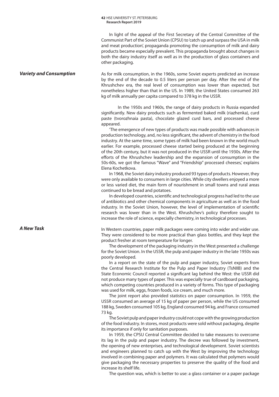In light of the appeal of the First Secretary of the Central Committee of the Communist Part of the Soviet Union (CPSU) to 'catch up and surpass the USA in milk and meat production', propaganda promoting the consumption of milk and dairy products became especially prevalent. This propaganda brought about changes in both the dairy industry itself as well as in the production of glass containers and other packaging.

### *Variety and Consumption*

As for milk consumption, in the 1960s, some Soviet experts predicted an increase by the end of the decade to 0.5 liters per person per day. After the end of the Khrushchev era, the real level of consumption was lower than expected, but nonetheless higher than that in the US. In 1989, the United States consumed 263 kg of milk annually per capita compared to 378 kg in the USSR.

In the 1950s and 1960s, the range of dairy products in Russia expanded significantly. New dairy products such as fermented baked milk (riazhenka), curd paste (tvorozhnaia pasta), chocolate glazed curd bars, and processed cheese appeared.

'The emergence of new types of products was made possible with advances in production technology, and, no less significant, the advent of chemistry in the food industry. At the same time, some types of milk had been known in the world much earlier. For example, processed cheese started being produced at the beginning of the 20th century, but it was not produced in the USSR until the 1930s. After the efforts of the Khrushchev leadership and the expansion of consumption in the 50s-60s, we got the famous "Wave" and "Friendship" processed cheeses,' explains Elena Kochetkova.

In 1968, the Soviet dairy industry produced 93 types of products. However, they were only available to consumers in large cities. While city dwellers enjoyed a more or less varied diet, the main form of nourishment in small towns and rural areas continued to be bread and potatoes.

In developed countries, scientific and technological progress had led to the use of antibiotics and other chemical components in agriculture as well as in the food industry. In the Soviet Union, however, the level of implementation of scientific research was lower than in the West. Khrushchev's policy therefore sought to increase the role of science, especially chemistry, in technological processes.

In Western countries, paper milk packages were coming into wider and wider use. They were considered to be more practical than glass bottles, and they kept the product fresher at room temperature for longer.

The development of the packaging industry in the West presented a challenge for the Soviet Union. In the USSR, the pulp and paper industry in the late 1950s was poorly developed.

In a report on the state of the pulp and paper industry, Soviet experts from the Central Research Institute for the Pulp and Paper Industry (TsNIIB) and the State Economic Council reported a significant lag behind the West: the USSR did not produce many types of paper. This was especially true of cardboard packaging, which competing countries produced in a variety of forms. This type of packaging was used for milk, eggs, frozen foods, ice cream, and much more.

The joint report also provided statistics on paper consumption. In 1959, the USSR consumed an average of 15 kg of paper per person, while the US consumed 188 kg, Sweden consumed 105 kg, England consumed 94 kg, and France consumed 73 kg.

The Soviet pulp and paper industry could not cope with the growing production of the food industry. In stores, most products were sold without packaging, despite its importance if only for sanitation purposes.

In 1959, the CPSU Central Committee decided to take measures to overcome its lag in the pulp and paper industry. The decree was followed by investment, the opening of new enterprises, and technological development. Soviet scientists and engineers planned to catch up with the West by improving the technology involved in combining paper and polymers. It was calculated that polymers would give packaging the necessary properties to preserve the quality of the food and increase its shelf life.

The question was, which is better to use: a glass container or a paper package

### *A New Task*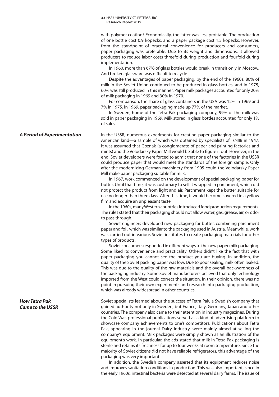with polymer coating? Economically, the latter was less profitable. The production of one bottle cost 0.9 kopecks, and a paper package cost 1.5 kopecks. However, from the standpoint of practical convenience for producers and consumers, paper packaging was preferable. Due to its weight and dimensions, it allowed producers to reduce labor costs threefold during production and fourfold during implementation.

In 1960, more than 67% of glass bottles would break in transit only in Moscow. And broken glassware was difficult to recycle.

Despite the advantages of paper packaging, by the end of the 1960s, 80% of milk in the Soviet Union continued to be produced in glass bottles, and in 1975, 60% was still produced in this manner. Paper milk packages accounted for only 20% of milk packaging in 1969 and 30% in 1970.

For comparison, the share of glass containers in the USA was 12% in 1969 and 7% in 1975. In 1969, paper packaging made up 77% of the market.

In Sweden, home of the Tetra Pak packaging company, 99% of the milk was sold in paper packaging in 1969. Milk stored in glass bottles accounted for only 1% of sales.

In the USSR, numerous experiments for creating paper packaging similar to the American kind—a sample of which was obtained by specialists of TsNIIB in 1947. It was assumed that Goznak (a conglomerate of paper and printing factories and mints) and the Volodarsky Paper Mill would be able to figure it out. However, in the end, Soviet developers were forced to admit that none of the factories in the USSR could produce paper that would meet the standards of the foreign sample. Only after the modernizing German machinery from 1905 could the Volodarsky Paper Mill make paper packaging suitable for milk.

In 1967, work commenced on the development of special packaging paper for butter. Until that time, it was customary to sell it wrapped in parchment, which did not protect the product from light and air. Parchment kept the butter suitable for use no longer than three days. After this time, it would become covered in a yellow film and acquire an unpleasant taste.

In the 1960s, many Western countries introduced food production requirements. The rules stated that their packaging should not allow water, gas, grease, air, or odor to pass through.

Soviet engineers developed new packaging for butter, combining parchment paper and foil, which was similar to the packaging used in Austria. Meanwhile, work was carried out in various Soviet institutes to create packaging materials for other types of products.

Soviet consumers responded in different ways to the new paper milk packaging. Some liked its convenience and practicality. Others didn't like the fact that with paper packaging you cannot see the product you are buying. In addition, the quality of the Soviet packing paper was low. Due to poor sealing, milk often leaked. This was due to the quality of the raw materials and the overall backwardness of the packaging industry. Some Soviet manufacturers believed that only technology imported from the West could correct the situation. In their opinion, there was no point in pursuing their own experiments and research into packaging production, which was already widespread in other countries.

Soviet specialists learned about the success of Tetra Pak, a Swedish company that gained authority not only in Sweden, but France, Italy, Germany, Japan and other countries. The company also came to their attention in industry magazines. During the Cold War, professional publications served as a kind of advertising platform to showcase company achievements to one's competitors. Publications about Tetra Pak, appearing in the journal Dairy Industry, were mainly aimed at selling the company's equipment. Milk packages were simply shown as an illustration of the equipment's work. In particular, the ads stated that milk in Tetra Pak packaging is sterile and retains its freshness for up to four weeks at room temperature. Since the majority of Soviet citizens did not have reliable refrigerators, this advantage of the packaging was very important.

In addition, the Swedish company asserted that its equipment reduces noise and improves sanitation conditions in production. This was also important, since in the early 1960s, intestinal bacteria were detected at several dairy farms. The issue of

### *A Period of Experimentation*

*How Tetra Pak Came to the USSR*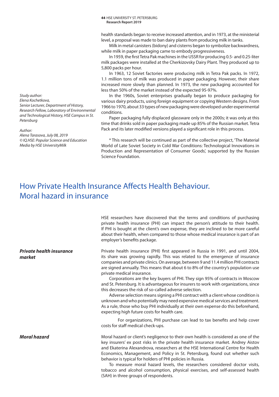*Study author: Elena Kochetkova, Senior Lecturer, Department of History, Research Fellow, Laboratory of Environmental and Technological History, HSE Campus in St. Petersburg*

### *Author:*

*Alena Tarasova, July 08, 2019 © IQ.HSE: Popular Science and Education Media by HSE UniversityMilk*

**44 HSE UNIVERSITY ST. PETERSBURG Research Report 2019**

health standards began to receive increased attention, and in 1973, at the ministerial level, a proposal was made to ban dairy plants from producing milk in tanks.

Milk in metal canisters (bidony) and cisterns began to symbolize backwardness, while milk in paper packaging came to embody progressiveness.

In 1959, the first Tetra Pak machines in the USSR for producing 0.5- and 0.25-liter milk packages were installed at the Cherkizovsky Dairy Plant. They produced up to 5,800 packs per hour.

In 1963, 12 Soviet factories were producing milk in Tetra Pak packs. In 1972, 1.1 million tons of milk was produced in paper packaging. However, their share increased more slowly than planned. In 1973, the new packaging accounted for less than 50% of the market instead of the expected 95-97%.

In the 1960s, Soviet enterprises gradually began to produce packaging for various dairy products, using foreign equipment or copying Western designs. From 1966 to 1970, about 33 types of new packaging were developed under experimental conditions.

Paper packaging fully displaced glassware only in the 2000s; it was only at this time that drinks sold in paper packaging made up 85% of the Russian market. Tetra Pack and its later modified versions played a significant role in this process.

\* This research will be continued as part of the collective project, 'The Material World of Late Soviet Society in Cold War Conditions: Technological Innovations in Production and Representation of Consumer Goods', supported by the Russian Science Foundation.

### How Private Health Insurance Affects Health Behaviour. Moral hazard in insurance

HSE researchers have discovered that the terms and conditions of purchasing private health insurance (PHI) can impact the person's attitude to their health. If PHI is bought at the client's own expense, they are inclined to be more careful about their health, when compared to those whose medical insurance is part of an employer's benefits package.

Private health insurance (PHI) first appeared in Russia in 1991, and until 2004, its share was growing rapidly. This was related to the emergence of insurance companies and private clinics. On average, between 9 and 11.4 million PHI contracts are signed annually. This means that about 6 to 8% of the country's population use private medical insurance.

Corporations are the key buyers of PHI. They sign 95% of contracts in Moscow and St. Petersburg. It is advantageous for insurers to work with organizations, since this decreases the risk of so-called adverse selection.

Adverse selection means signing a PHI contract with a client whose condition is unknown and who potentially may need expensive medical services and treatment. As a rule, those who buy PHI individually at their own expense do this beforehand, expecting high future costs for health care.

For organizations, PHI purchase can lead to tax benefits and help cover costs for staff medical check-ups.

Moral hazard or client's negligence to their own health is considered as one of the key insurers' ex post risks in the private health insurance market. Andrey Aistov and Ekaterina Alexandrova, researchers at the HSE International Centre for Health Economics, Management, and Policy in St. Petersburg, found out whether such behavior is typical for holders of PHI policies in Russia.

To measure moral hazard levels, the researchers considered doctor visits, tobacco and alcohol consumption, physical exercises, and self-assessed health (SAH) in three groups of respondents.

*Private health insurance market*

### *Moral hazard*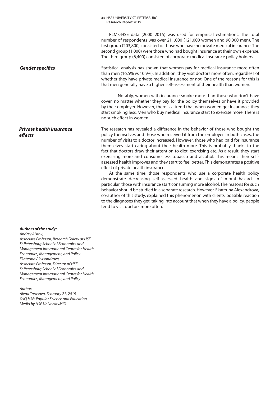RLMS-HSE data (2000–2015) was used for empirical estimations. The total number of respondents was over 211,000 (121,000 women and 90,000 men). The first group (203,800) consisted of those who have no private medical insurance. The second group (1,000) were those who had bought insurance at their own expense. The third group (6,400) consisted of corporate medical insurance policy holders.

Statistical analysis has shown that women pay for medical insurance more often than men (16.5% vs 10.9%). In addition, they visit doctors more often, regardless of whether they have private medical insurance or not. One of the reasons for this is that men generally have a higher self-assessment of their health than women.

Notably, women with insurance smoke more than those who don't have cover, no matter whether they pay for the policy themselves or have it provided by their employer. However, there is a trend that when women get insurance, they start smoking less. Men who buy medical insurance start to exercise more. There is no such effect in women.

The research has revealed a difference in the behavior of those who bought the policy themselves and those who received it from the employer. In both cases, the number of visits to a doctor increased. However, those who had paid for insurance themselves start caring about their health more. This is probably thanks to the fact that doctors draw their attention to diet, exercising etc. As a result, they start exercising more and consume less tobacco and alcohol. This means their selfassessed health improves and they start to feel better. This demonstrates a positive effect of private health insurance.

At the same time, those respondents who use a corporate health policy demonstrate decreasing self-assessed health and signs of moral hazard. In particular, those with insurance start consuming more alcohol. The reasons for such behavior should be studied in a separate research. However, Ekaterina Alexandrova, co-author of this study, explained this phenomenon with clients' possible reaction to the diagnoses they get, taking into account that when they have a policy, people tend to visit doctors more often.

*Gender specifics*

### *Private health insurance effects*

### *Authors of the study:*

*Andrey Aistov, Associate Professor, Research Fellow at HSE St.Petersburg School of Economics and Management International Centre for Health Economics, Management, and Policy Ekaterina Aleksandrova, Associate Professor, Director of HSE St.Petersburg School of Economics and Management International Centre for Health Economics, Management, and Policy*

*Author:* 

*Alena Tarasova, February 21, 2019 © IQ.HSE: Popular Science and Education Media by HSE UniversityMilk*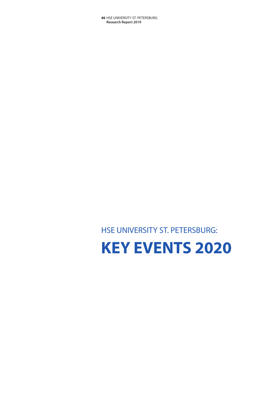# **KEY EVENTS 2020**

HSE UNIVERSITY ST. PETERSBURG: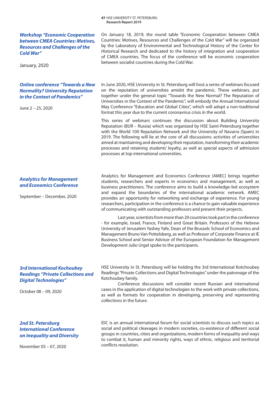| <b>Research Report 2019</b>                                                                                                                              |                                                                                                                                                                                                                                                                                                                                                                                                                                                                                                                                                                      |
|----------------------------------------------------------------------------------------------------------------------------------------------------------|----------------------------------------------------------------------------------------------------------------------------------------------------------------------------------------------------------------------------------------------------------------------------------------------------------------------------------------------------------------------------------------------------------------------------------------------------------------------------------------------------------------------------------------------------------------------|
| <b>Workshop "Economic Cooperation</b><br>between CMEA Countries: Motives,<br><b>Resources and Challenges of the</b><br><b>Cold War"</b><br>January, 2020 | On January 18, 2019, the round table "Economic Cooperation between CMEA<br>Countries: Motives, Resources and Challenges of the Cold War" will be organized<br>by the Laboratory of Environmental and Technological History of the Center for<br>Historical Research and dedicated to the history of integration and cooperation<br>of CMEA countries. The focus of the conference will be economic cooperation<br>between socialist countries during the Cold War.                                                                                                   |
| <b>Online conference "Towards a New</b><br><b>Normality? University Reputation</b><br>in the Context of Pandemics"<br>June 2 – 25, 2020                  | In June 2020, HSE University in St. Petersburg will host a series of webinars focused<br>on the reputation of universities amidst the pandemic. These webinars, put<br>together under the general topic "Towards the New Normal? The Reputation of<br>Universities in the Context of the Pandemic", will embody the Annual International<br>May Conference "Education and Global Cities", which will adopt a non-traditional<br>format this year due to the current coronavirus crisis in the world.                                                                 |
|                                                                                                                                                          | This series of webinars continues the discussion about Building University<br>Reputation (BUR - Russia) which was organized by HSE Saint-Petersburg together<br>with the World 100 Reputation Network and the University of Navarra (Spain) in<br>2019. The following will lie at the core of all discussions: activities of universities<br>aimed at maintaining and developing their reputation, transforming their academic<br>processes and retaining students' loyalty, as well as special aspects of admission<br>processes at top international universities. |
| <b>Analytics for Management</b><br>and Economics Conference<br>September - December, 2020                                                                | Analytics for Management and Economics Conference (AMEC) brings together<br>students, researchers and experts in economics and management, as well as<br>business practitioners. The conference aims to build a knowledge-led ecosystem<br>and expand the boundaries of the international academic network. AMEC<br>provides an opportunity for networking and exchange of experience. For young<br>researchers, participation in the conference is a chance to gain valuable experience<br>of communicating with outstanding professors and present their projects. |
|                                                                                                                                                          | Last year, scientists from more than 20 countries took part in the conference<br>- for example, Israel, France, Finland and Great Britain. Professors of the Hebrew<br>University of Jerusalem Yashey Yafe, Dean of the Brussels School of Economics and<br>Management Bruno Van Pottelsberg, as well as Professor of Corporate Finance at IE<br>Business School and Senior Advisor of the European Foundation for Management<br>Development Julio Urgel spoke to the participants.                                                                                  |
|                                                                                                                                                          |                                                                                                                                                                                                                                                                                                                                                                                                                                                                                                                                                                      |

**47 HSE UNIVERSITY ST. PETERSBURG** 

### *3rd International Kochoubey Readings "Private Collections and Digital Technologies"*

October 08 – 09, 2020

HSE University in St. Petersburg will be holding the 3rd International Kotchoubey Readings "Private Collections and Digital Technologies" under the patronage of the Kotchoubey family.

Conference discussions will consider recent Russian and international cases in the application of digital technologies to the work with private collections, as well as formats for cooperation in developing, preserving and representing collections in the future.

### *2nd St. Petersburg International Conference on Inequality and Diversity*

November 05 – 07, 2020

IDC is an annual international forum for social scientists to discuss such topics as social and political cleavages in modern societies, co-existence of different social groups in countries, cities and organizations, modern forms of inequality and ways to combat it, human and minority rights, ways of ethnic, religious and territorial conflicts resolution.